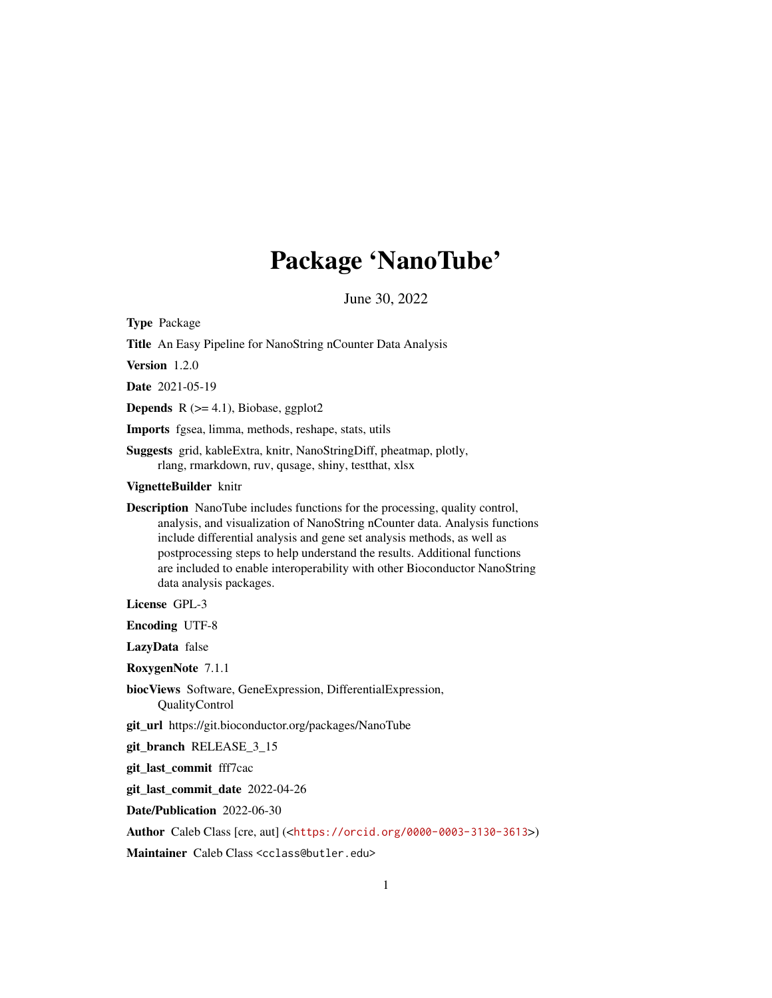## Package 'NanoTube'

June 30, 2022

Type Package

Title An Easy Pipeline for NanoString nCounter Data Analysis

Version 1.2.0

Date 2021-05-19

**Depends**  $R$  ( $>= 4.1$ ), Biobase, ggplot2

Imports fgsea, limma, methods, reshape, stats, utils

Suggests grid, kableExtra, knitr, NanoStringDiff, pheatmap, plotly, rlang, rmarkdown, ruv, qusage, shiny, testthat, xlsx

VignetteBuilder knitr

Description NanoTube includes functions for the processing, quality control, analysis, and visualization of NanoString nCounter data. Analysis functions include differential analysis and gene set analysis methods, as well as postprocessing steps to help understand the results. Additional functions are included to enable interoperability with other Bioconductor NanoString data analysis packages.

License GPL-3

Encoding UTF-8

LazyData false

RoxygenNote 7.1.1

biocViews Software, GeneExpression, DifferentialExpression, QualityControl

git\_url https://git.bioconductor.org/packages/NanoTube

git\_branch RELEASE\_3\_15

git\_last\_commit fff7cac

git\_last\_commit\_date 2022-04-26

Date/Publication 2022-06-30

Author Caleb Class [cre, aut] (<<https://orcid.org/0000-0003-3130-3613>>)

Maintainer Caleb Class <cclass@butler.edu>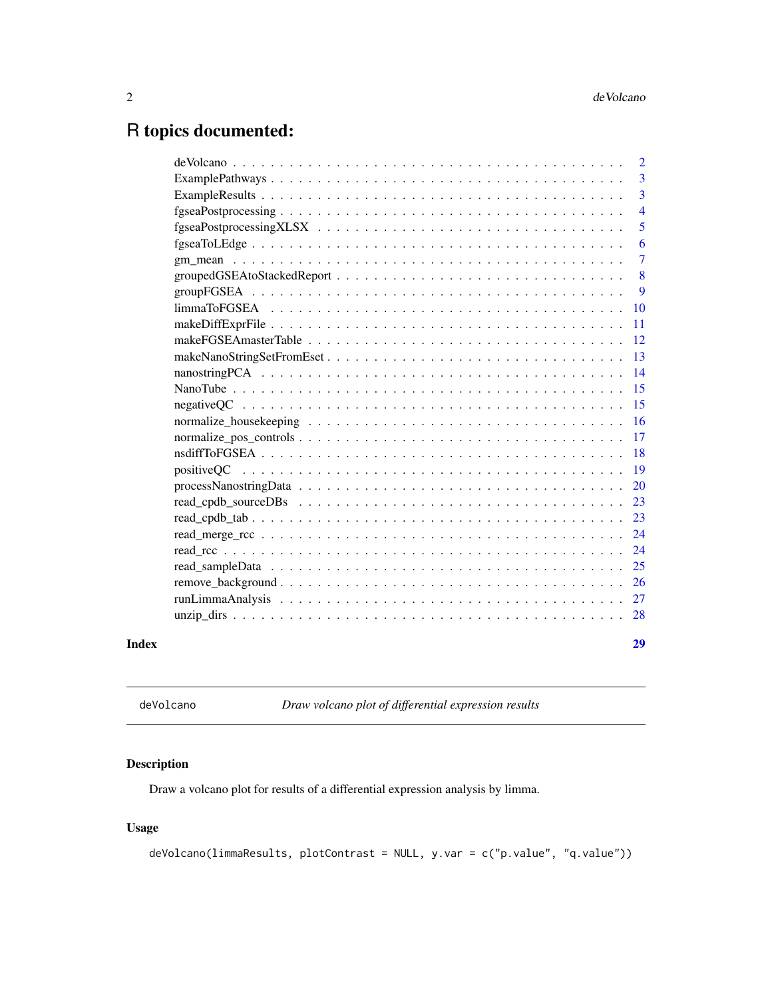### <span id="page-1-0"></span>R topics documented:

|       |                                                                                                                   | $\overline{2}$ |
|-------|-------------------------------------------------------------------------------------------------------------------|----------------|
|       |                                                                                                                   | 3              |
|       |                                                                                                                   | $\overline{3}$ |
|       |                                                                                                                   | $\overline{4}$ |
|       |                                                                                                                   | 5              |
|       |                                                                                                                   | 6              |
|       |                                                                                                                   | $\overline{7}$ |
|       |                                                                                                                   | 8              |
|       |                                                                                                                   | 9              |
|       |                                                                                                                   | <b>10</b>      |
|       |                                                                                                                   | <b>11</b>      |
|       |                                                                                                                   | 12             |
|       |                                                                                                                   | -13            |
|       |                                                                                                                   | 14             |
|       |                                                                                                                   | 15             |
|       |                                                                                                                   | 15             |
|       |                                                                                                                   |                |
|       |                                                                                                                   |                |
|       |                                                                                                                   |                |
|       |                                                                                                                   |                |
|       | $processNanostringData \dots \dots \dots \dots \dots \dots \dots \dots \dots \dots \dots \dots \dots \dots \dots$ | 20             |
|       |                                                                                                                   |                |
|       |                                                                                                                   |                |
|       |                                                                                                                   | 24             |
|       |                                                                                                                   | 24             |
|       |                                                                                                                   |                |
|       |                                                                                                                   |                |
|       |                                                                                                                   |                |
|       |                                                                                                                   |                |
| Index |                                                                                                                   | 29             |

deVolcano *Draw volcano plot of differential expression results*

#### Description

Draw a volcano plot for results of a differential expression analysis by limma.

### Usage

```
deVolcano(limmaResults, plotContrast = NULL, y.var = c("p.value", "q.value"))
```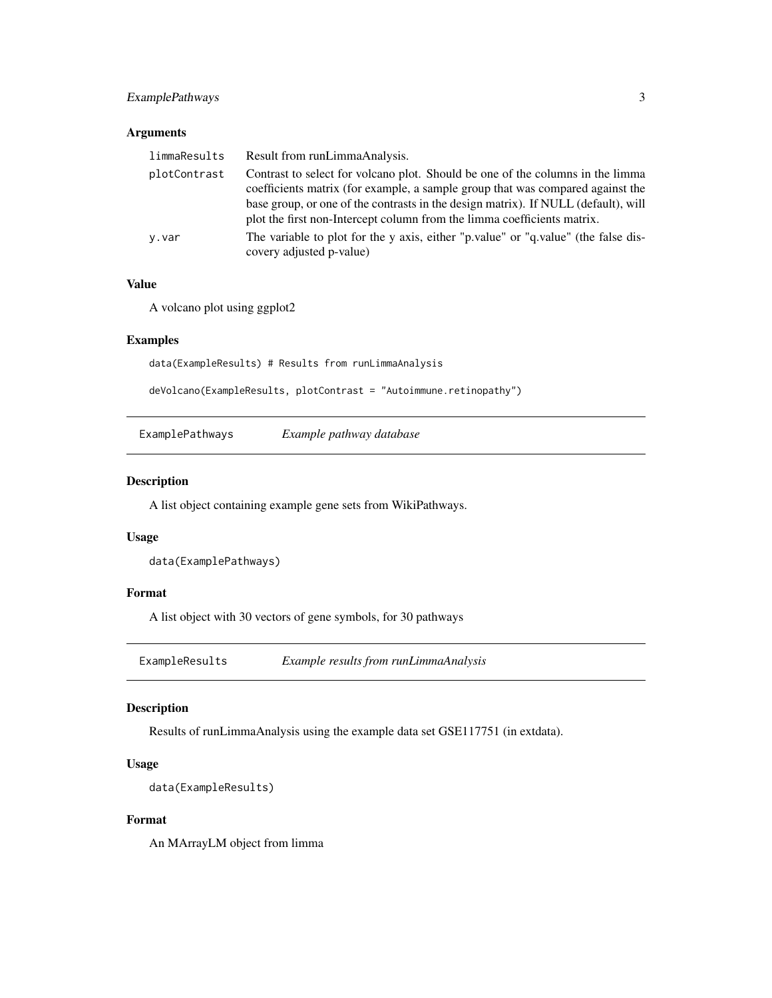#### <span id="page-2-0"></span>ExamplePathways 3

#### Arguments

| limmaResults | Result from runLimmaAnalysis.                                                                                                                                                                                                                          |
|--------------|--------------------------------------------------------------------------------------------------------------------------------------------------------------------------------------------------------------------------------------------------------|
| plotContrast | Contrast to select for volcano plot. Should be one of the columns in the limma<br>coefficients matrix (for example, a sample group that was compared against the<br>base group, or one of the contrasts in the design matrix). If NULL (default), will |
|              | plot the first non-Intercept column from the limma coefficients matrix.                                                                                                                                                                                |
| y.var        | The variable to plot for the y axis, either "p.value" or "q.value" (the false dis-<br>covery adjusted p-value)                                                                                                                                         |

#### Value

A volcano plot using ggplot2

#### Examples

data(ExampleResults) # Results from runLimmaAnalysis

deVolcano(ExampleResults, plotContrast = "Autoimmune.retinopathy")

ExamplePathways *Example pathway database*

#### Description

A list object containing example gene sets from WikiPathways.

#### Usage

```
data(ExamplePathways)
```
#### Format

A list object with 30 vectors of gene symbols, for 30 pathways

ExampleResults *Example results from runLimmaAnalysis*

#### Description

Results of runLimmaAnalysis using the example data set GSE117751 (in extdata).

#### Usage

```
data(ExampleResults)
```
#### Format

An MArrayLM object from limma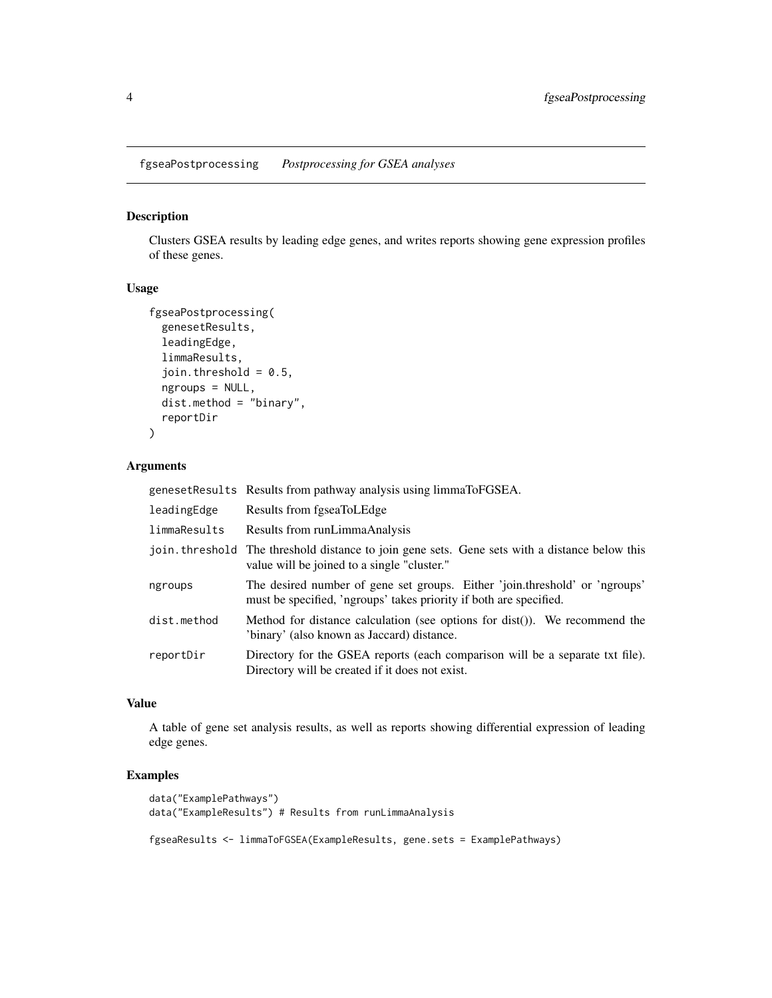<span id="page-3-0"></span>fgseaPostprocessing *Postprocessing for GSEA analyses*

#### Description

Clusters GSEA results by leading edge genes, and writes reports showing gene expression profiles of these genes.

#### Usage

```
fgseaPostprocessing(
 genesetResults,
 leadingEdge,
 limmaResults,
  join.threshold = 0.5,
 ngroups = NULL,
 dist.method = "binary",
  reportDir
)
```
#### Arguments

|              | genesetResults Results from pathway analysis using limmaToFGSEA.                                                                                  |
|--------------|---------------------------------------------------------------------------------------------------------------------------------------------------|
| leadingEdge  | Results from fgseaToLEdge                                                                                                                         |
| limmaResults | Results from runLimmaAnalysis                                                                                                                     |
|              | join. threshold The threshold distance to join gene sets. Gene sets with a distance below this<br>value will be joined to a single "cluster."     |
| ngroups      | The desired number of gene set groups. Either 'join.threshold' or 'ngroups'<br>must be specified, 'ngroups' takes priority if both are specified. |
| dist.method  | Method for distance calculation (see options for dist()). We recommend the<br>'binary' (also known as Jaccard) distance.                          |
| reportDir    | Directory for the GSEA reports (each comparison will be a separate txt file).<br>Directory will be created if it does not exist.                  |

#### Value

A table of gene set analysis results, as well as reports showing differential expression of leading edge genes.

#### Examples

```
data("ExamplePathways")
data("ExampleResults") # Results from runLimmaAnalysis
```
fgseaResults <- limmaToFGSEA(ExampleResults, gene.sets = ExamplePathways)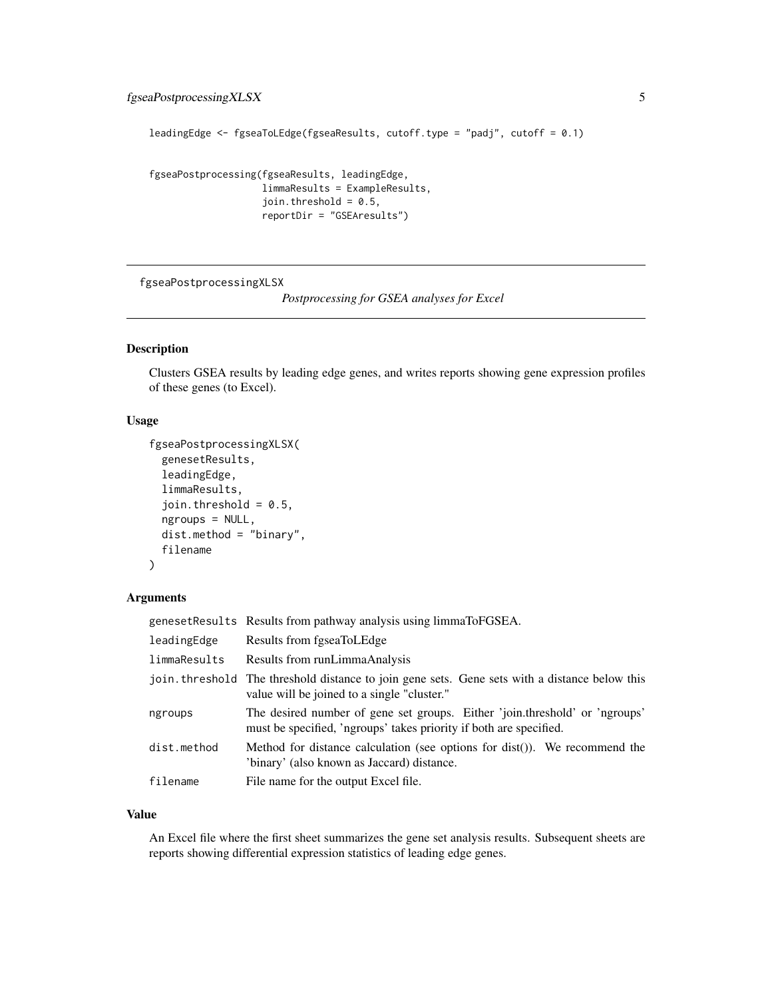```
leadingEdge <- fgseaToLEdge(fgseaResults, cutoff.type = "padj", cutoff = 0.1)
```
fgseaPostprocessing(fgseaResults, leadingEdge, limmaResults = ExampleResults, join.threshold =  $0.5$ , reportDir = "GSEAresults")

fgseaPostprocessingXLSX

*Postprocessing for GSEA analyses for Excel*

#### Description

Clusters GSEA results by leading edge genes, and writes reports showing gene expression profiles of these genes (to Excel).

#### Usage

```
fgseaPostprocessingXLSX(
  genesetResults,
  leadingEdge,
 limmaResults,
  join.threshold = 0.5,
 ngroups = NULL,
 dist.method = "binary",
  filename
)
```
#### Arguments

|              | genesetResults Results from pathway analysis using limmaToFGSEA.                                                                                  |
|--------------|---------------------------------------------------------------------------------------------------------------------------------------------------|
| leadingEdge  | Results from fgseaToLEdge                                                                                                                         |
| limmaResults | Results from runLimmaAnalysis                                                                                                                     |
|              | join threshold The threshold distance to join gene sets. Gene sets with a distance below this<br>value will be joined to a single "cluster."      |
| ngroups      | The desired number of gene set groups. Either 'join.threshold' or 'ngroups'<br>must be specified, 'ngroups' takes priority if both are specified. |
| dist.method  | Method for distance calculation (see options for $dist()$ ). We recommend the<br>'binary' (also known as Jaccard) distance.                       |
| filename     | File name for the output Excel file.                                                                                                              |

#### Value

An Excel file where the first sheet summarizes the gene set analysis results. Subsequent sheets are reports showing differential expression statistics of leading edge genes.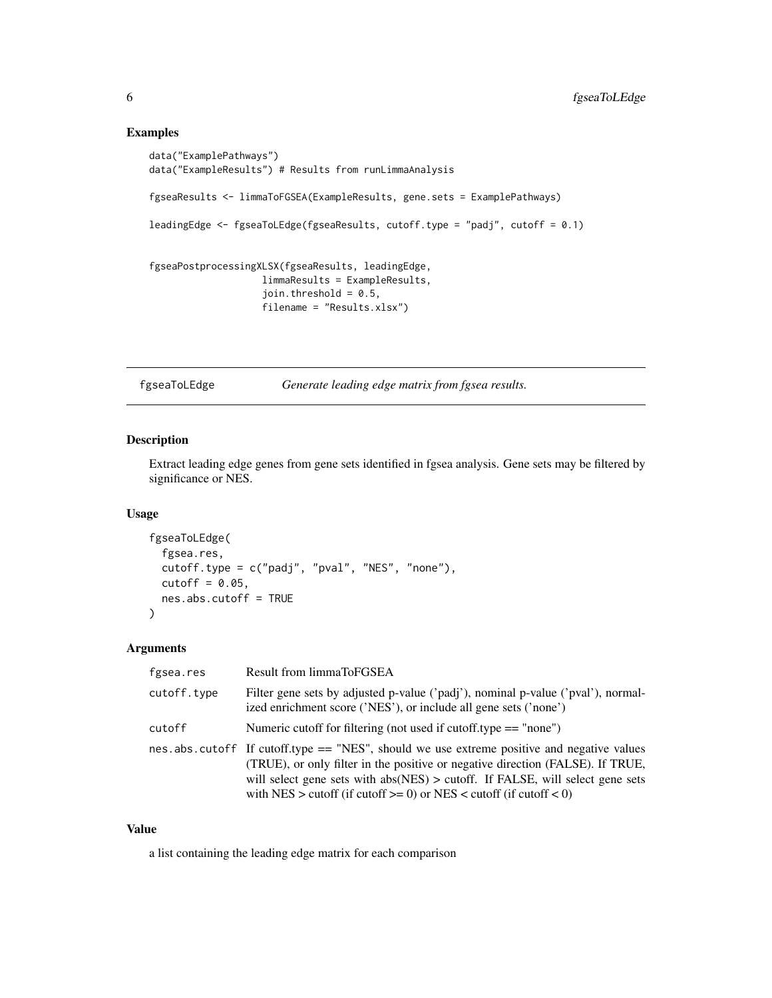```
data("ExamplePathways")
data("ExampleResults") # Results from runLimmaAnalysis
fgseaResults <- limmaToFGSEA(ExampleResults, gene.sets = ExamplePathways)
leadingEdge <- fgseaToLEdge(fgseaResults, cutoff.type = "padj", cutoff = 0.1)
fgseaPostprocessingXLSX(fgseaResults, leadingEdge,
                    limmaResults = ExampleResults,
                    join.threshold = 0.5,
                    filename = "Results.xlsx")
```
fgseaToLEdge *Generate leading edge matrix from fgsea results.*

#### Description

Extract leading edge genes from gene sets identified in fgsea analysis. Gene sets may be filtered by significance or NES.

#### Usage

```
fgseaToLEdge(
  fgsea.res,
 cutoff.type = c("padj", "pval", "NES", "none"),
 cutoff = 0.05,
 nes.abs.cutoff = TRUE
)
```
#### Arguments

| fgsea.res   | Result from limmaToFGSEA                                                                                                                                                                                                                                                                                                              |
|-------------|---------------------------------------------------------------------------------------------------------------------------------------------------------------------------------------------------------------------------------------------------------------------------------------------------------------------------------------|
| cutoff.type | Filter gene sets by adjusted p-value ('padj'), nominal p-value ('pval'), normal-<br>ized enrichment score ('NES'), or include all gene sets ('none')                                                                                                                                                                                  |
| cutoff      | Numeric cutoff for filtering (not used if cutoff.type $==$ "none")                                                                                                                                                                                                                                                                    |
|             | nes.abs.cutoff If cutoff.type $==$ "NES", should we use extreme positive and negative values<br>(TRUE), or only filter in the positive or negative direction (FALSE). If TRUE,<br>will select gene sets with abs(NES) > cutoff. If FALSE, will select gene sets<br>with NES > cutoff (if cutoff >= 0) or NES < cutoff (if cutoff < 0) |

#### Value

a list containing the leading edge matrix for each comparison

<span id="page-5-0"></span>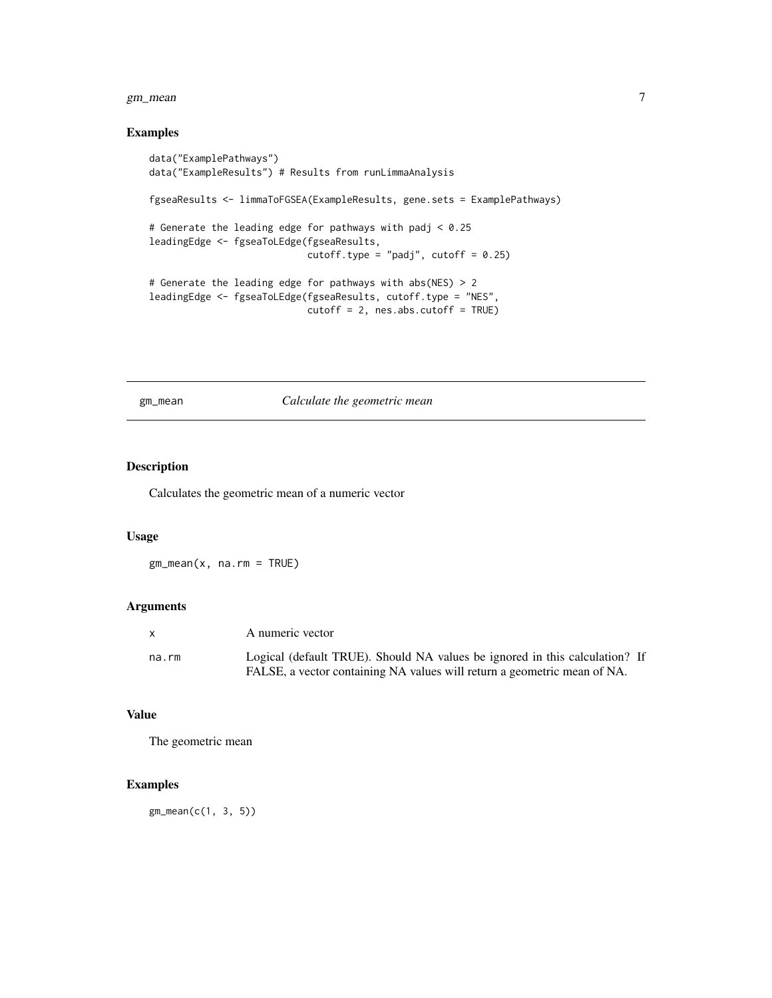#### <span id="page-6-0"></span>gm\_mean 7

#### Examples

```
data("ExamplePathways")
data("ExampleResults") # Results from runLimmaAnalysis
fgseaResults <- limmaToFGSEA(ExampleResults, gene.sets = ExamplePathways)
# Generate the leading edge for pathways with padj < 0.25
leadingEdge <- fgseaToLEdge(fgseaResults,
                            cutoff.type = "padj", cutoff = 0.25)
# Generate the leading edge for pathways with abs(NES) > 2
leadingEdge <- fgseaToLEdge(fgseaResults, cutoff.type = "NES",
                            cutoff = 2, nes.abs.cutoff = TRUE)
```
gm\_mean *Calculate the geometric mean*

#### Description

Calculates the geometric mean of a numeric vector

#### Usage

gm\_mean(x, na.rm = TRUE)

#### Arguments

|       | A numeric vector                                                            |
|-------|-----------------------------------------------------------------------------|
| na.rm | Logical (default TRUE). Should NA values be ignored in this calculation? If |
|       | FALSE, a vector containing NA values will return a geometric mean of NA.    |

#### Value

The geometric mean

#### Examples

gm\_mean(c(1, 3, 5))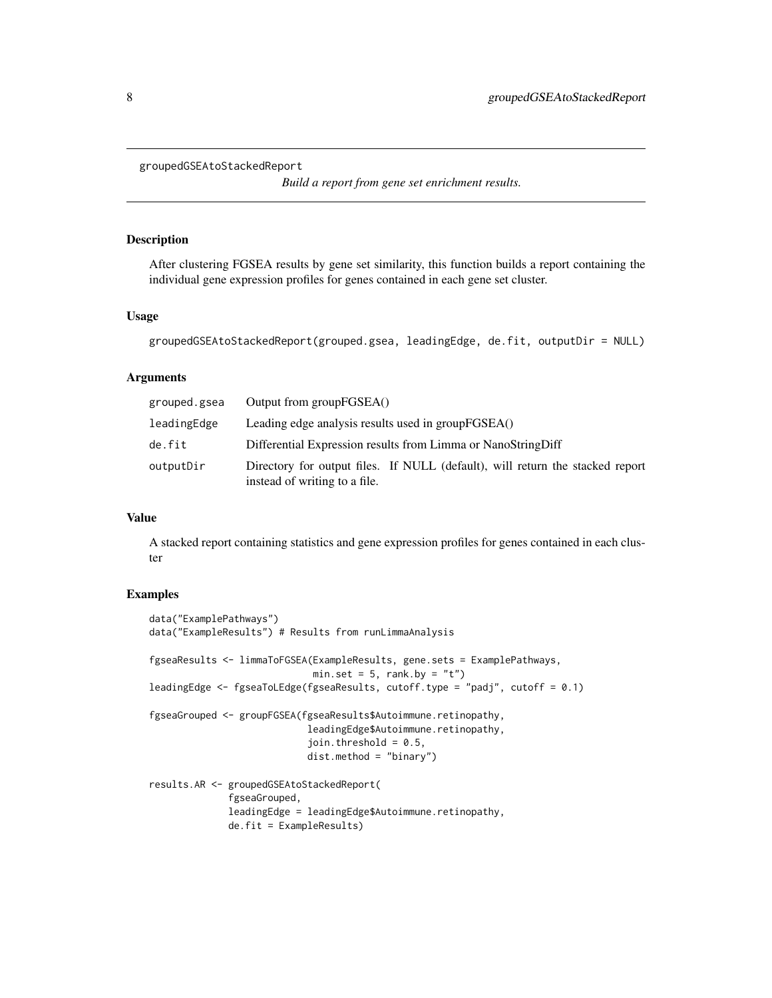```
groupedGSEAtoStackedReport
```
*Build a report from gene set enrichment results.*

#### Description

After clustering FGSEA results by gene set similarity, this function builds a report containing the individual gene expression profiles for genes contained in each gene set cluster.

#### Usage

```
groupedGSEAtoStackedReport(grouped.gsea, leadingEdge, de.fit, outputDir = NULL)
```
#### Arguments

| grouped.gsea | Output from groupFGSEA()                                                                                       |
|--------------|----------------------------------------------------------------------------------------------------------------|
| leadingEdge  | Leading edge analysis results used in groupFGSEA()                                                             |
| de.fit       | Differential Expression results from Limma or NanoStringDiff                                                   |
| outputDir    | Directory for output files. If NULL (default), will return the stacked report<br>instead of writing to a file. |

#### Value

A stacked report containing statistics and gene expression profiles for genes contained in each cluster

#### Examples

```
data("ExamplePathways")
data("ExampleResults") # Results from runLimmaAnalysis
fgseaResults <- limmaToFGSEA(ExampleResults, gene.sets = ExamplePathways,
                             min.set = 5, rank.by = "t")
leadingEdge <- fgseaToLEdge(fgseaResults, cutoff.type = "padj", cutoff = 0.1)
fgseaGrouped <- groupFGSEA(fgseaResults$Autoimmune.retinopathy,
                            leadingEdge$Autoimmune.retinopathy,
                            join.threshold = 0.5,
                            dist.method = "binary")
results.AR <- groupedGSEAtoStackedReport(
              fgseaGrouped,
              leadingEdge = leadingEdge$Autoimmune.retinopathy,
              de.fit = ExampleResults)
```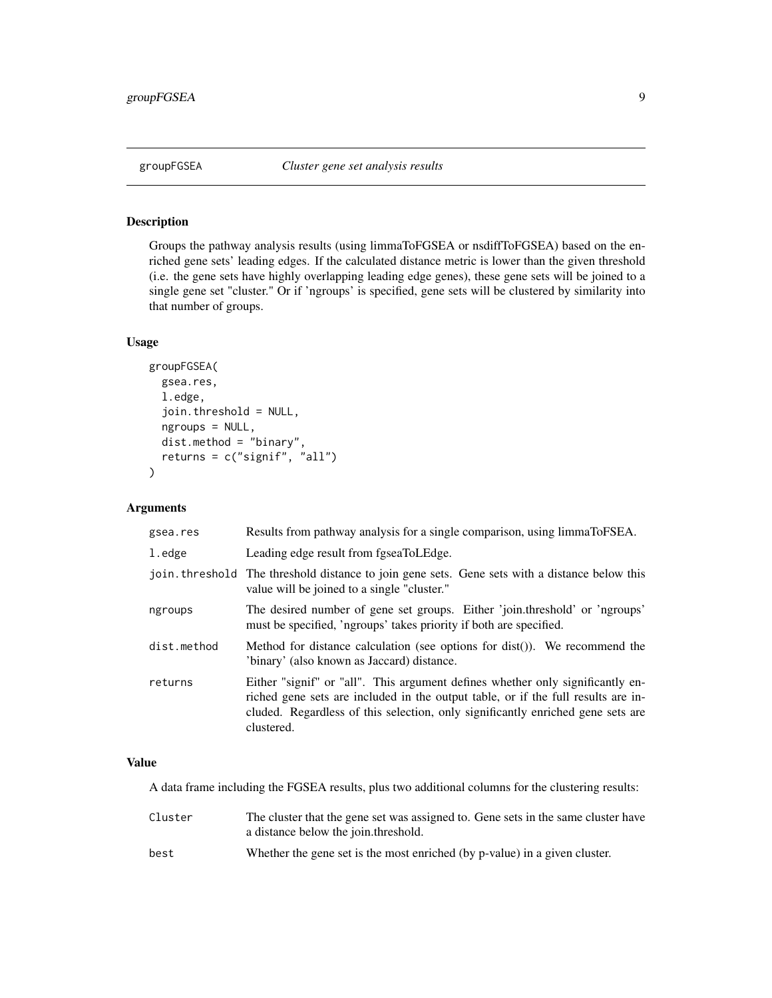<span id="page-8-0"></span>

#### Description

Groups the pathway analysis results (using limmaToFGSEA or nsdiffToFGSEA) based on the enriched gene sets' leading edges. If the calculated distance metric is lower than the given threshold (i.e. the gene sets have highly overlapping leading edge genes), these gene sets will be joined to a single gene set "cluster." Or if 'ngroups' is specified, gene sets will be clustered by similarity into that number of groups.

#### Usage

```
groupFGSEA(
 gsea.res,
  l.edge,
  join.threshold = NULL,
  ngroups = NULL,
  dist.method = "binary",
  returns = c("signif", "all")
)
```
#### Arguments

| gsea.res    | Results from pathway analysis for a single comparison, using limmaToFSEA.                                                                                                                                                                                            |
|-------------|----------------------------------------------------------------------------------------------------------------------------------------------------------------------------------------------------------------------------------------------------------------------|
| l.edge      | Leading edge result from fgseaToLEdge.                                                                                                                                                                                                                               |
|             | join threshold The threshold distance to join gene sets. Gene sets with a distance below this<br>value will be joined to a single "cluster."                                                                                                                         |
| ngroups     | The desired number of gene set groups. Either 'join.threshold' or 'ngroups'<br>must be specified, 'ngroups' takes priority if both are specified.                                                                                                                    |
| dist.method | Method for distance calculation (see options for dist()). We recommend the<br>'binary' (also known as Jaccard) distance.                                                                                                                                             |
| returns     | Either "signif" or "all". This argument defines whether only significantly en-<br>riched gene sets are included in the output table, or if the full results are in-<br>cluded. Regardless of this selection, only significantly enriched gene sets are<br>clustered. |

#### Value

A data frame including the FGSEA results, plus two additional columns for the clustering results:

Cluster The cluster that the gene set was assigned to. Gene sets in the same cluster have a distance below the join.threshold. best Whether the gene set is the most enriched (by p-value) in a given cluster.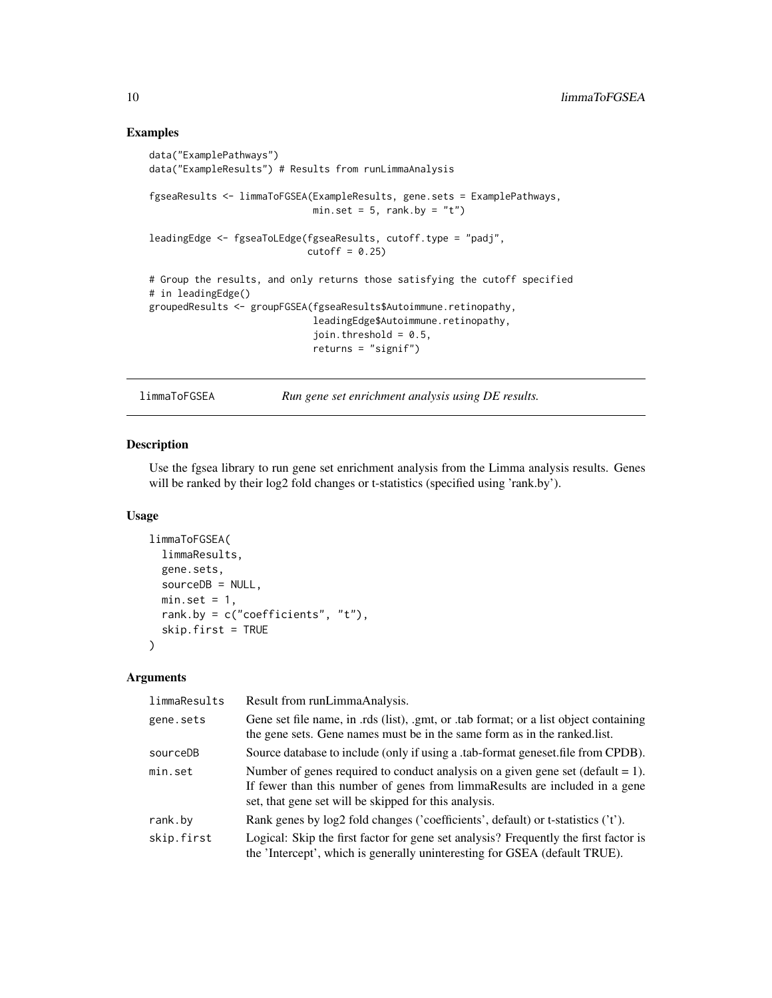```
data("ExamplePathways")
data("ExampleResults") # Results from runLimmaAnalysis
fgseaResults <- limmaToFGSEA(ExampleResults, gene.sets = ExamplePathways,
                            min.set = 5, rank.by = "t")
leadingEdge <- fgseaToLEdge(fgseaResults, cutoff.type = "padj",
                            cutoff = 0.25# Group the results, and only returns those satisfying the cutoff specified
# in leadingEdge()
groupedResults <- groupFGSEA(fgseaResults$Autoimmune.retinopathy,
                             leadingEdge$Autoimmune.retinopathy,
                             join.threshold = 0.5,
                             returns = "signif")
```
limmaToFGSEA *Run gene set enrichment analysis using DE results.*

#### Description

Use the fgsea library to run gene set enrichment analysis from the Limma analysis results. Genes will be ranked by their log2 fold changes or t-statistics (specified using 'rank.by').

#### Usage

```
limmaToFGSEA(
  limmaResults,
  gene.sets,
  sourceDB = NULL,min.set = 1,rank.by = c("coefficients", "t"),
  skip.first = TRUE
\mathcal{L}
```

| limmaResults | Result from runLimmaAnalysis.                                                                                                                                                                                              |
|--------------|----------------------------------------------------------------------------------------------------------------------------------------------------------------------------------------------------------------------------|
| gene.sets    | Gene set file name, in .rds (list), .gmt, or .tab format; or a list object containing<br>the gene sets. Gene names must be in the same form as in the ranked.list.                                                         |
| sourceDB     | Source database to include (only if using a .tab-format geneset file from CPDB).                                                                                                                                           |
| min.set      | Number of genes required to conduct analysis on a given gene set (default $= 1$ ).<br>If fewer than this number of genes from limmaResults are included in a gene<br>set, that gene set will be skipped for this analysis. |
| rank.by      | Rank genes by log2 fold changes ('coefficients', default) or t-statistics ('t').                                                                                                                                           |
| skip.first   | Logical: Skip the first factor for gene set analysis? Frequently the first factor is<br>the 'Intercept', which is generally uninteresting for GSEA (default TRUE).                                                         |

<span id="page-9-0"></span>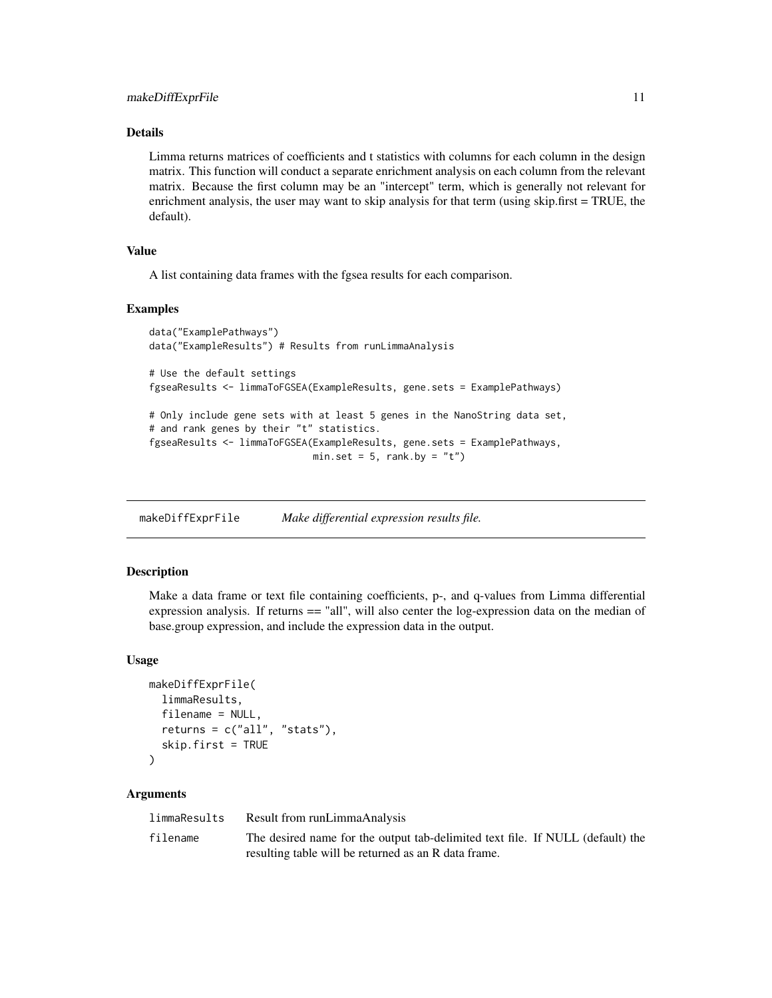#### <span id="page-10-0"></span>Details

Limma returns matrices of coefficients and t statistics with columns for each column in the design matrix. This function will conduct a separate enrichment analysis on each column from the relevant matrix. Because the first column may be an "intercept" term, which is generally not relevant for enrichment analysis, the user may want to skip analysis for that term (using skip.first = TRUE, the default).

#### Value

A list containing data frames with the fgsea results for each comparison.

#### Examples

```
data("ExamplePathways")
data("ExampleResults") # Results from runLimmaAnalysis
# Use the default settings
fgseaResults <- limmaToFGSEA(ExampleResults, gene.sets = ExamplePathways)
```

```
# Only include gene sets with at least 5 genes in the NanoString data set,
# and rank genes by their "t" statistics.
fgseaResults <- limmaToFGSEA(ExampleResults, gene.sets = ExamplePathways,
                             min.set = 5, rank.by = "t")
```
makeDiffExprFile *Make differential expression results file.*

#### Description

Make a data frame or text file containing coefficients, p-, and q-values from Limma differential expression analysis. If returns  $==$  "all", will also center the log-expression data on the median of base.group expression, and include the expression data in the output.

#### Usage

```
makeDiffExprFile(
  limmaResults,
  filename = NULL,
  returns = c("all", "stats"),skip.first = TRUE
)
```

| limmaResults | Result from runLimmaAnalysis                                                   |
|--------------|--------------------------------------------------------------------------------|
| filename     | The desired name for the output tab-delimited text file. If NULL (default) the |
|              | resulting table will be returned as an R data frame.                           |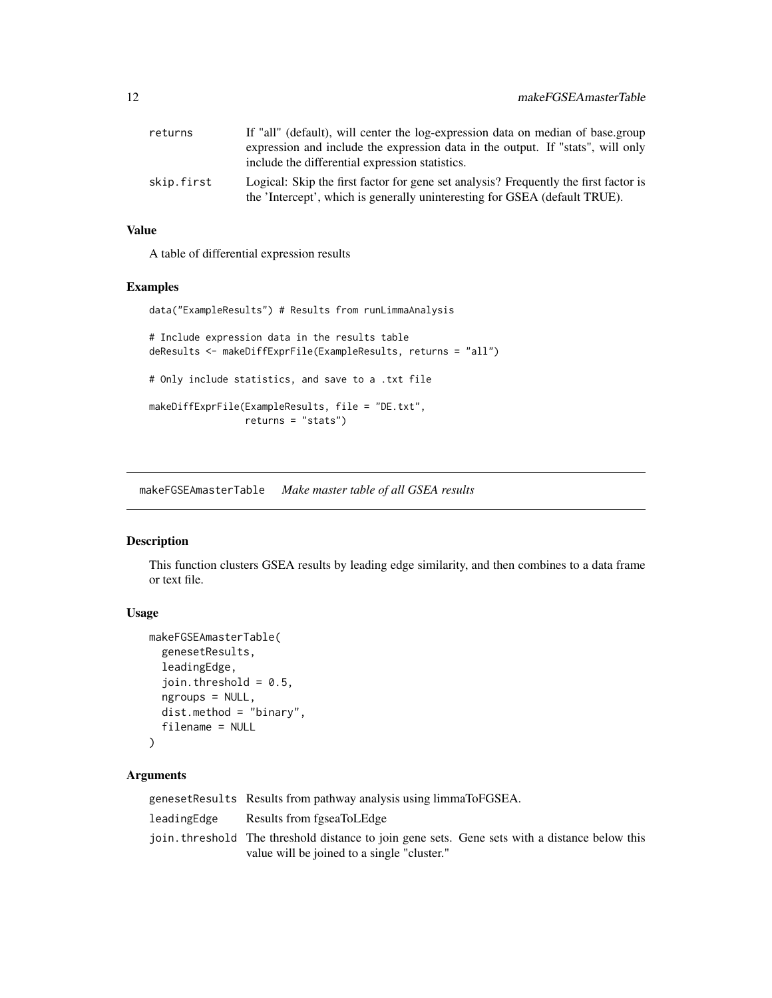<span id="page-11-0"></span>

| returns    | If "all" (default), will center the log-expression data on median of base.group                                                                                    |
|------------|--------------------------------------------------------------------------------------------------------------------------------------------------------------------|
|            | expression and include the expression data in the output. If "stats", will only                                                                                    |
|            | include the differential expression statistics.                                                                                                                    |
| skip.first | Logical: Skip the first factor for gene set analysis? Frequently the first factor is<br>the 'Intercept', which is generally uninteresting for GSEA (default TRUE). |

#### Value

A table of differential expression results

#### Examples

data("ExampleResults") # Results from runLimmaAnalysis

```
# Include expression data in the results table
deResults <- makeDiffExprFile(ExampleResults, returns = "all")
# Only include statistics, and save to a .txt file
makeDiffExprFile(ExampleResults, file = "DE.txt",
                 returns = "stats")
```
makeFGSEAmasterTable *Make master table of all GSEA results*

#### Description

This function clusters GSEA results by leading edge similarity, and then combines to a data frame or text file.

#### Usage

```
makeFGSEAmasterTable(
  genesetResults,
  leadingEdge,
  join.threshold = 0.5,
  ngroups = NULL,
  dist.method = "binary",
  filename = NULL
)
```

|             | geneset Results Results from pathway analysis using limmaToFGSEA.                                                                             |
|-------------|-----------------------------------------------------------------------------------------------------------------------------------------------|
| leadingEdge | Results from fgseaToLEdge                                                                                                                     |
|             | join threshold. The threshold distance to join gene sets. Gene sets with a distance below this<br>value will be joined to a single "cluster." |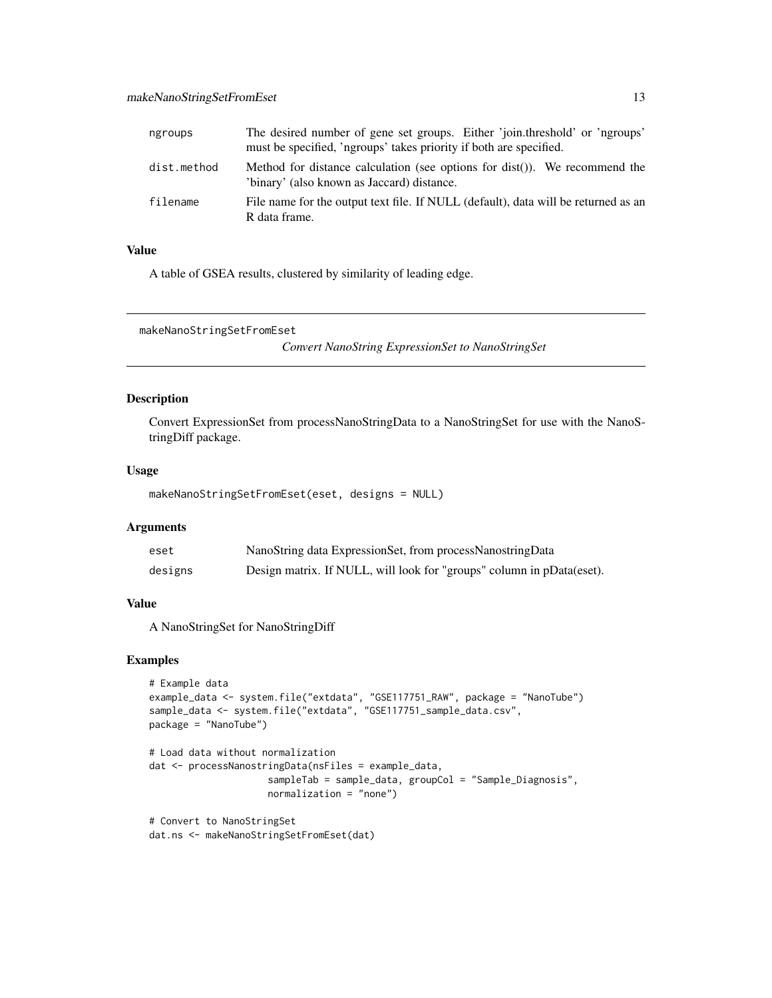<span id="page-12-0"></span>

| ngroups     | The desired number of gene set groups. Either 'join.threshold' or 'ngroups'<br>must be specified, 'ngroups' takes priority if both are specified. |
|-------------|---------------------------------------------------------------------------------------------------------------------------------------------------|
| dist.method | Method for distance calculation (see options for dist()). We recommend the<br>'binary' (also known as Jaccard) distance.                          |
| filename    | File name for the output text file. If NULL (default), data will be returned as an<br>R data frame.                                               |

#### Value

A table of GSEA results, clustered by similarity of leading edge.

makeNanoStringSetFromEset

*Convert NanoString ExpressionSet to NanoStringSet*

#### Description

Convert ExpressionSet from processNanoStringData to a NanoStringSet for use with the NanoStringDiff package.

#### Usage

```
makeNanoStringSetFromEset(eset, designs = NULL)
```
#### Arguments

| eset    | NanoString data ExpressionSet, from processNanostringData             |
|---------|-----------------------------------------------------------------------|
| designs | Design matrix. If NULL, will look for "groups" column in pData(eset). |

#### Value

A NanoStringSet for NanoStringDiff

#### Examples

```
# Example data
example_data <- system.file("extdata", "GSE117751_RAW", package = "NanoTube")
sample_data <- system.file("extdata", "GSE117751_sample_data.csv",
package = "NanoTube")
# Load data without normalization
dat <- processNanostringData(nsFiles = example_data,
                     sampleTab = sample_data, groupCol = "Sample_Diagnosis",
                    normalization = "none")
# Convert to NanoStringSet
```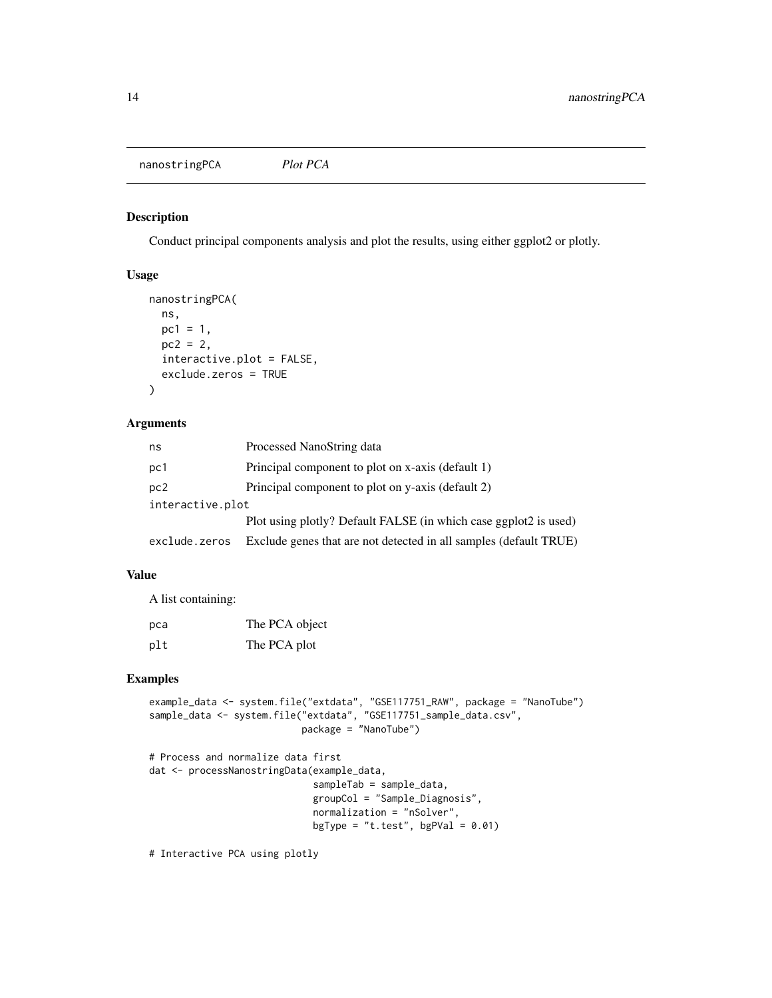<span id="page-13-0"></span>nanostringPCA *Plot PCA*

#### Description

Conduct principal components analysis and plot the results, using either ggplot2 or plotly.

#### Usage

```
nanostringPCA(
 ns,
 pc1 = 1,
 pc2 = 2,
  interactive.plot = FALSE,
  exclude.zeros = TRUE
)
```
#### Arguments

| ns               | Processed NanoString data                                         |
|------------------|-------------------------------------------------------------------|
| pc1              | Principal component to plot on x-axis (default 1)                 |
| pc2              | Principal component to plot on y-axis (default 2)                 |
| interactive.plot |                                                                   |
|                  | Plot using plotly? Default FALSE (in which case ggplot2 is used)  |
| exclude.zeros    | Exclude genes that are not detected in all samples (default TRUE) |

#### Value

A list containing:

| pca | The PCA object |
|-----|----------------|
| plt | The PCA plot   |

#### Examples

```
example_data <- system.file("extdata", "GSE117751_RAW", package = "NanoTube")
sample_data <- system.file("extdata", "GSE117751_sample_data.csv",
                          package = "NanoTube")
```

```
# Process and normalize data first
dat <- processNanostringData(example_data,
                            sampleTab = sample_data,
                            groupCol = "Sample_Diagnosis",
                            normalization = "nSolver",
                            bgType = "t.test", bgPVal = 0.01)
```
# Interactive PCA using plotly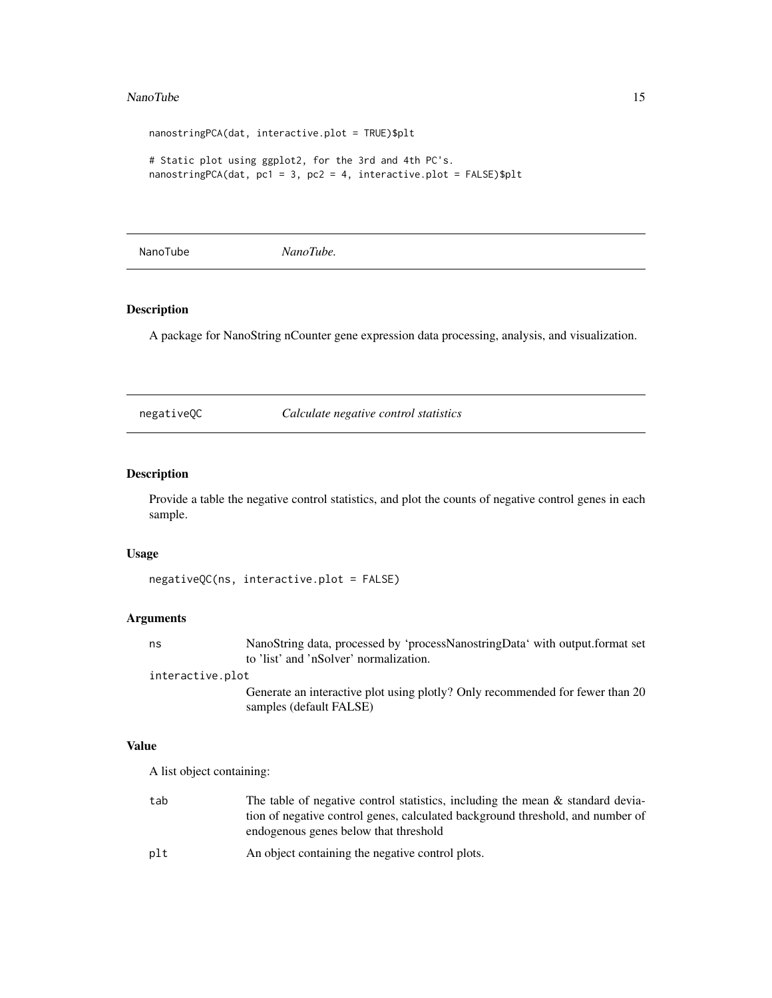#### <span id="page-14-0"></span>NanoTube 15

```
nanostringPCA(dat, interactive.plot = TRUE)$plt
# Static plot using ggplot2, for the 3rd and 4th PC's.
nanostringPCA(dat, pc1 = 3, pc2 = 4, interactive.plot = FALSE)$plt
```
NanoTube *NanoTube.*

#### Description

A package for NanoString nCounter gene expression data processing, analysis, and visualization.

negativeQC *Calculate negative control statistics*

#### Description

Provide a table the negative control statistics, and plot the counts of negative control genes in each sample.

#### Usage

```
negativeQC(ns, interactive.plot = FALSE)
```
#### Arguments

| ns | NanoString data, processed by 'processNanostringData' with output.format set |
|----|------------------------------------------------------------------------------|
|    | to 'list' and 'nSolver' normalization.                                       |

interactive.plot

Generate an interactive plot using plotly? Only recommended for fewer than 20 samples (default FALSE)

#### Value

A list object containing:

- tab The table of negative control statistics, including the mean & standard deviation of negative control genes, calculated background threshold, and number of endogenous genes below that threshold
- plt An object containing the negative control plots.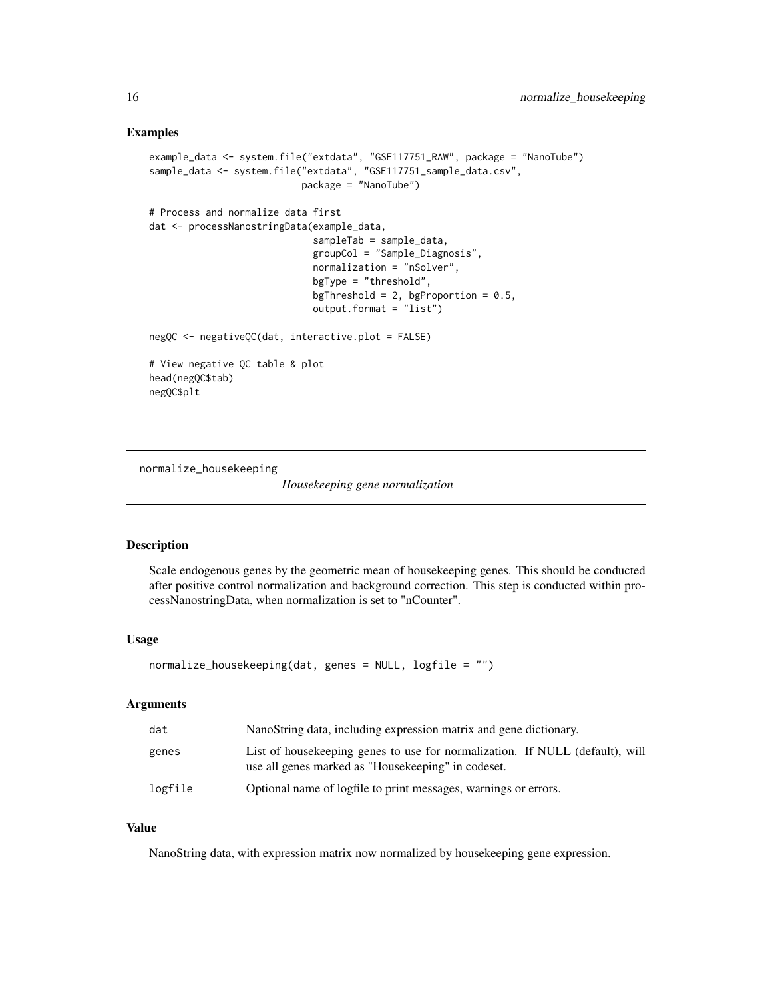```
example_data <- system.file("extdata", "GSE117751_RAW", package = "NanoTube")
sample_data <- system.file("extdata", "GSE117751_sample_data.csv",
                           package = "NanoTube")
# Process and normalize data first
dat <- processNanostringData(example_data,
                             sampleTab = sample_data,
                             groupCol = "Sample_Diagnosis",
                             normalization = "nSolver",
                             bgType = "threshold",
                             bgThreshold = 2, bgProportion = 0.5,
                             output.format = "list")
negQC <- negativeQC(dat, interactive.plot = FALSE)
# View negative QC table & plot
head(negQC$tab)
negQC$plt
```
normalize\_housekeeping

```
Housekeeping gene normalization
```
#### Description

Scale endogenous genes by the geometric mean of housekeeping genes. This should be conducted after positive control normalization and background correction. This step is conducted within processNanostringData, when normalization is set to "nCounter".

#### Usage

```
normalize_housekeeping(dat, genes = NULL, logfile = "")
```
#### Arguments

| dat     | NanoString data, including expression matrix and gene dictionary.                                                                   |
|---------|-------------------------------------------------------------------------------------------------------------------------------------|
| genes   | List of housekeeping genes to use for normalization. If NULL (default), will<br>use all genes marked as "House keeping" in codeset. |
| logfile | Optional name of logfile to print messages, warnings or errors.                                                                     |

#### Value

NanoString data, with expression matrix now normalized by housekeeping gene expression.

<span id="page-15-0"></span>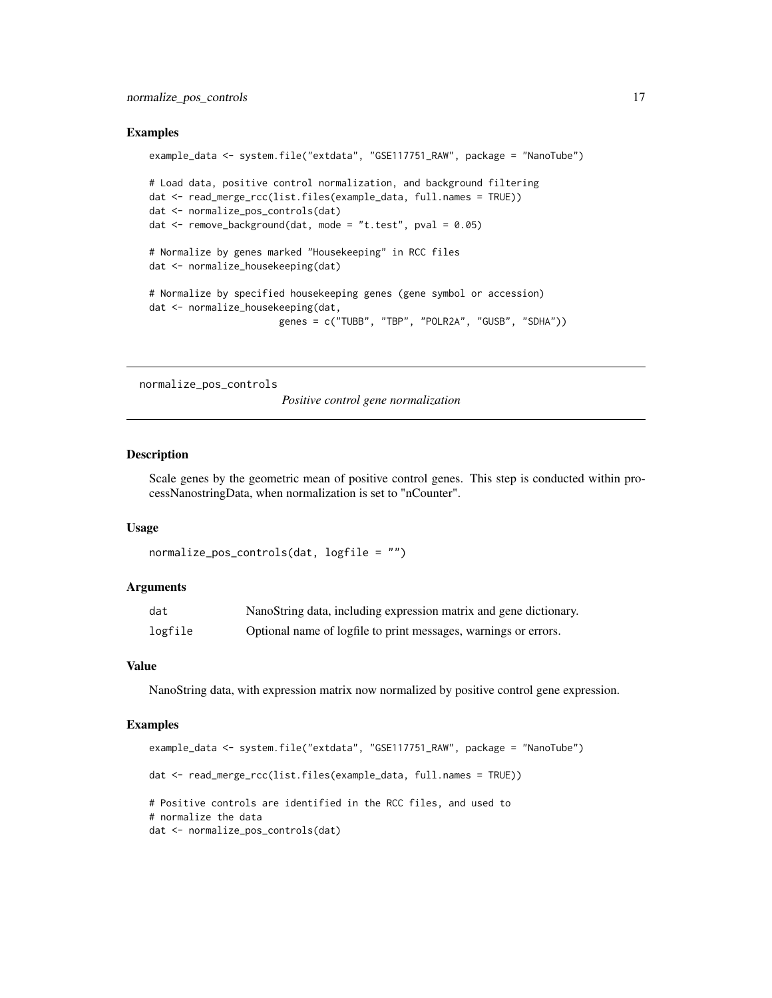```
example_data <- system.file("extdata", "GSE117751_RAW", package = "NanoTube")
# Load data, positive control normalization, and background filtering
dat <- read_merge_rcc(list.files(example_data, full.names = TRUE))
dat <- normalize_pos_controls(dat)
dat <- remove_background(dat, mode = "t.test", pval = 0.05)
# Normalize by genes marked "Housekeeping" in RCC files
dat <- normalize_housekeeping(dat)
# Normalize by specified housekeeping genes (gene symbol or accession)
dat <- normalize_housekeeping(dat,
                       genes = c("TUBB", "TBP", "POLR2A", "GUSB", "SDHA"))
```
normalize\_pos\_controls

*Positive control gene normalization*

#### Description

Scale genes by the geometric mean of positive control genes. This step is conducted within processNanostringData, when normalization is set to "nCounter".

#### Usage

```
normalize_pos_controls(dat, logfile = "")
```
#### Arguments

| dat     | NanoString data, including expression matrix and gene dictionary. |
|---------|-------------------------------------------------------------------|
| logfile | Optional name of logfile to print messages, warnings or errors.   |

#### Value

NanoString data, with expression matrix now normalized by positive control gene expression.

#### Examples

```
example_data <- system.file("extdata", "GSE117751_RAW", package = "NanoTube")
dat <- read_merge_rcc(list.files(example_data, full.names = TRUE))
# Positive controls are identified in the RCC files, and used to
# normalize the data
dat <- normalize_pos_controls(dat)
```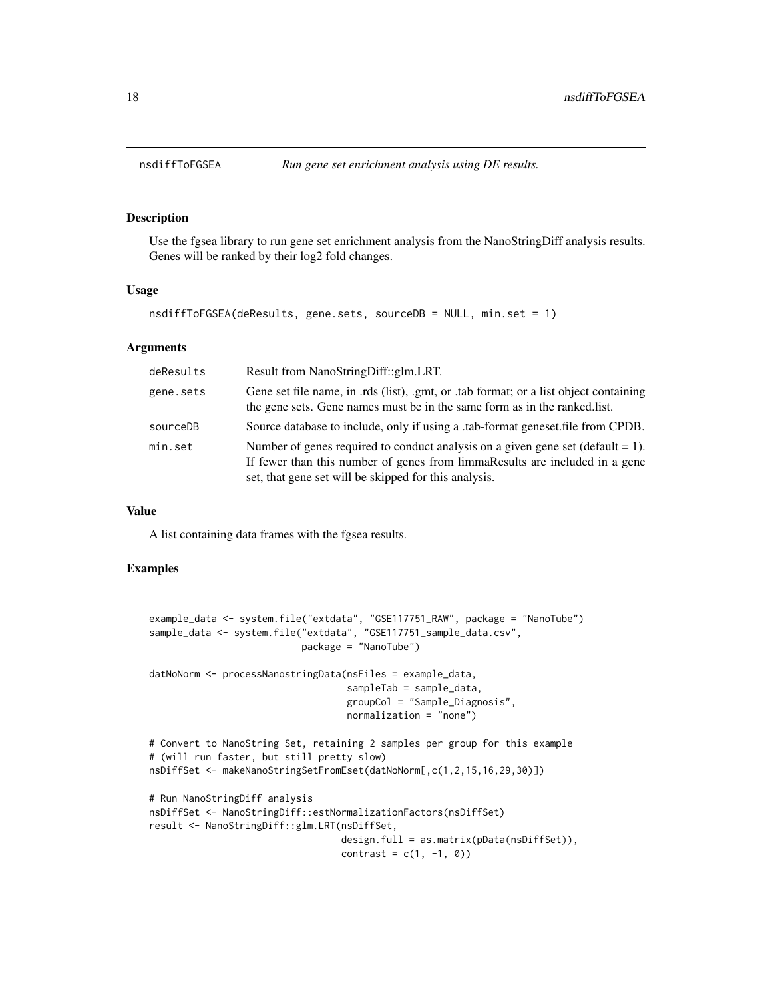#### Description

Use the fgsea library to run gene set enrichment analysis from the NanoStringDiff analysis results. Genes will be ranked by their log2 fold changes.

#### Usage

```
nsdiffToFGSEA(deResults, gene.sets, sourceDB = NULL, min.set = 1)
```
#### Arguments

| deResults | Result from NanoStringDiff::glm.LRT.                                                                                                                                                                                       |
|-----------|----------------------------------------------------------------------------------------------------------------------------------------------------------------------------------------------------------------------------|
| gene.sets | Gene set file name, in .rds (list), .gmt, or .tab format; or a list object containing<br>the gene sets. Gene names must be in the same form as in the ranked. list.                                                        |
| sourceDB  | Source database to include, only if using a .tab-format geneset.file from CPDB.                                                                                                                                            |
| min.set   | Number of genes required to conduct analysis on a given gene set (default $= 1$ ).<br>If fewer than this number of genes from limmaResults are included in a gene<br>set, that gene set will be skipped for this analysis. |

#### Value

A list containing data frames with the fgsea results.

#### Examples

```
example_data <- system.file("extdata", "GSE117751_RAW", package = "NanoTube")
sample_data <- system.file("extdata", "GSE117751_sample_data.csv",
                           package = "NanoTube")
datNoNorm <- processNanostringData(nsFiles = example_data,
                                   sampleTab = sample_data,
                                   groupCol = "Sample_Diagnosis",
                                   normalization = "none")
# Convert to NanoString Set, retaining 2 samples per group for this example
# (will run faster, but still pretty slow)
nsDiffSet <- makeNanoStringSetFromEset(datNoNorm[,c(1,2,15,16,29,30)])
# Run NanoStringDiff analysis
nsDiffSet <- NanoStringDiff::estNormalizationFactors(nsDiffSet)
result <- NanoStringDiff::glm.LRT(nsDiffSet,
                                  design.full = as.matrix(pData(nsDiffSet)),
                                  contrast = c(1, -1, 0))
```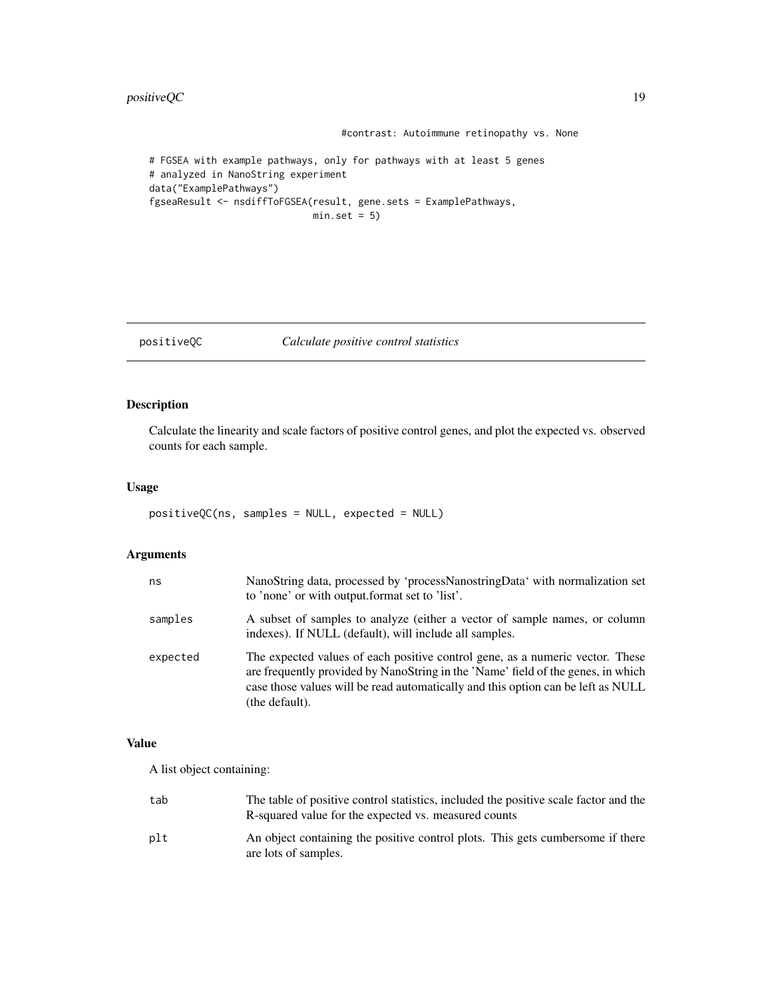#### <span id="page-18-0"></span>positiveQC 19

```
#contrast: Autoimmune retinopathy vs. None
# FGSEA with example pathways, only for pathways with at least 5 genes
# analyzed in NanoString experiment
data("ExamplePathways")
fgseaResult <- nsdiffToFGSEA(result, gene.sets = ExamplePathways,
                            min.set = 5)
```
#### positiveQC *Calculate positive control statistics*

#### Description

Calculate the linearity and scale factors of positive control genes, and plot the expected vs. observed counts for each sample.

#### Usage

```
positiveQC(ns, samples = NULL, expected = NULL)
```
#### Arguments

| ns       | NanoString data, processed by 'processNanostringData' with normalization set<br>to 'none' or with output.format set to 'list'.                                                                                                                                          |
|----------|-------------------------------------------------------------------------------------------------------------------------------------------------------------------------------------------------------------------------------------------------------------------------|
| samples  | A subset of samples to analyze (either a vector of sample names, or column<br>indexes). If NULL (default), will include all samples.                                                                                                                                    |
| expected | The expected values of each positive control gene, as a numeric vector. These<br>are frequently provided by NanoString in the 'Name' field of the genes, in which<br>case those values will be read automatically and this option can be left as NULL<br>(the default). |

#### Value

A list object containing:

| tab | The table of positive control statistics, included the positive scale factor and the<br>R-squared value for the expected vs. measured counts |
|-----|----------------------------------------------------------------------------------------------------------------------------------------------|
| plt | An object containing the positive control plots. This gets cumbersome if there<br>are lots of samples.                                       |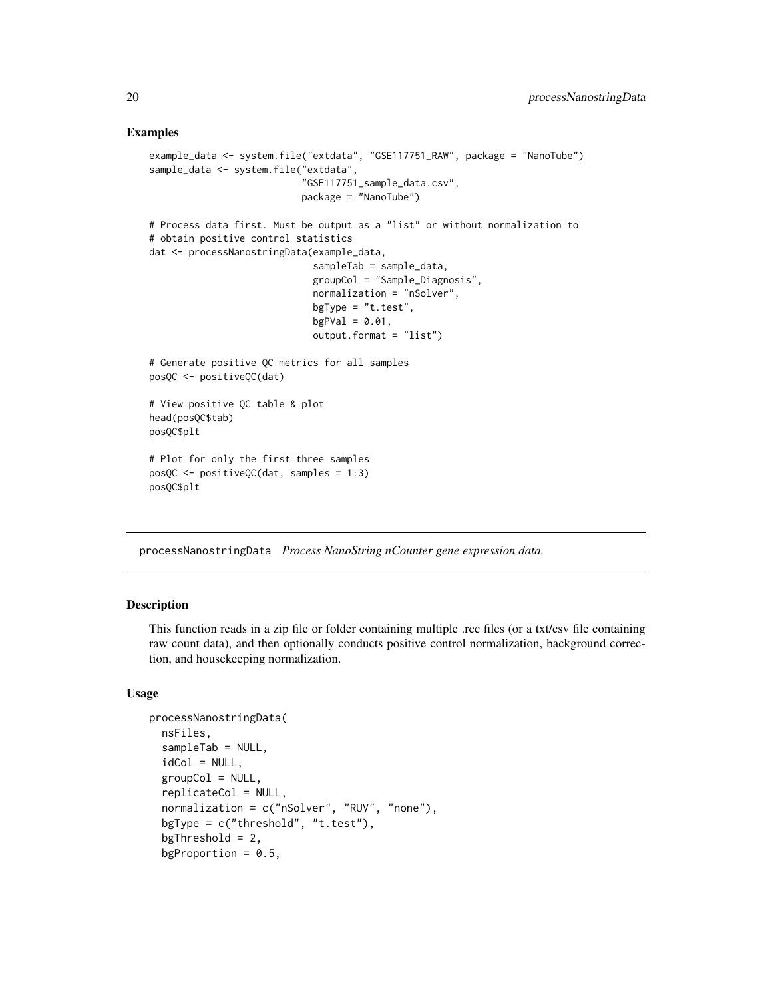```
example_data <- system.file("extdata", "GSE117751_RAW", package = "NanoTube")
sample_data <- system.file("extdata",
                           "GSE117751_sample_data.csv",
                           package = "NanoTube")
# Process data first. Must be output as a "list" or without normalization to
# obtain positive control statistics
dat <- processNanostringData(example_data,
                             sampleTab = sample_data,
                             groupCol = "Sample_Diagnosis",
                             normalization = "nSolver",
                             bgType = "t.test",
                             bgPVal = 0.01,
                             output.format = "list")
# Generate positive QC metrics for all samples
posQC <- positiveQC(dat)
# View positive QC table & plot
head(posQC$tab)
posQC$plt
# Plot for only the first three samples
posQC <- positiveQC(dat, samples = 1:3)
posQC$plt
```
processNanostringData *Process NanoString nCounter gene expression data.*

#### **Description**

This function reads in a zip file or folder containing multiple .rcc files (or a txt/csv file containing raw count data), and then optionally conducts positive control normalization, background correction, and housekeeping normalization.

#### Usage

```
processNanostringData(
  nsFiles,
  sampleTab = NULL,
  idCol = NULL,groupCol = NULL,replicateCol = NULL,
  normalization = c("nSolver", "RUV", "none"),
  bgType = c("threshold", "t.test"),
  bgThreshold = 2,bgProportion = 0.5,
```
<span id="page-19-0"></span>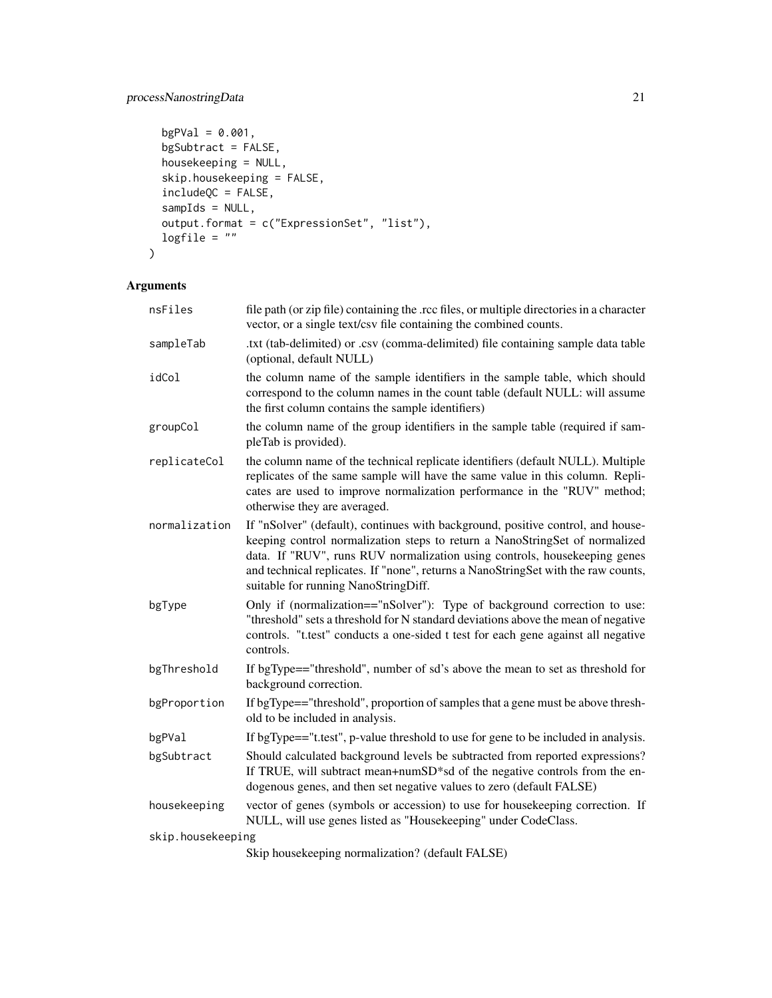```
bgPVal = 0.001,bgSubtract = FALSE,
 housekeeping = NULL,
 skip.housekeeping = FALSE,
  includeQC = FALSE,
  sampIds = NULL,
 output.format = c("ExpressionSet", "list"),
 logfile = ""\mathcal{L}
```

| nsFiles           | file path (or zip file) containing the .rcc files, or multiple directories in a character<br>vector, or a single text/csv file containing the combined counts.                                                                                                                                                                                                           |
|-------------------|--------------------------------------------------------------------------------------------------------------------------------------------------------------------------------------------------------------------------------------------------------------------------------------------------------------------------------------------------------------------------|
| sampleTab         | .txt (tab-delimited) or .csv (comma-delimited) file containing sample data table<br>(optional, default NULL)                                                                                                                                                                                                                                                             |
| idCol             | the column name of the sample identifiers in the sample table, which should<br>correspond to the column names in the count table (default NULL: will assume<br>the first column contains the sample identifiers)                                                                                                                                                         |
| groupCol          | the column name of the group identifiers in the sample table (required if sam-<br>pleTab is provided).                                                                                                                                                                                                                                                                   |
| replicateCol      | the column name of the technical replicate identifiers (default NULL). Multiple<br>replicates of the same sample will have the same value in this column. Repli-<br>cates are used to improve normalization performance in the "RUV" method;<br>otherwise they are averaged.                                                                                             |
| normalization     | If "nSolver" (default), continues with background, positive control, and house-<br>keeping control normalization steps to return a NanoStringSet of normalized<br>data. If "RUV", runs RUV normalization using controls, housekeeping genes<br>and technical replicates. If "none", returns a NanoStringSet with the raw counts,<br>suitable for running NanoStringDiff. |
| bgType            | Only if (normalization=="nSolver"): Type of background correction to use:<br>"threshold" sets a threshold for N standard deviations above the mean of negative<br>controls. "t.test" conducts a one-sided t test for each gene against all negative<br>controls.                                                                                                         |
| bgThreshold       | If bgType=="threshold", number of sd's above the mean to set as threshold for<br>background correction.                                                                                                                                                                                                                                                                  |
| bgProportion      | If bgType=="threshold", proportion of samples that a gene must be above thresh-<br>old to be included in analysis.                                                                                                                                                                                                                                                       |
| bgPVal            | If bgType=="t.test", p-value threshold to use for gene to be included in analysis.                                                                                                                                                                                                                                                                                       |
| bgSubtract        | Should calculated background levels be subtracted from reported expressions?<br>If TRUE, will subtract mean+numSD*sd of the negative controls from the en-<br>dogenous genes, and then set negative values to zero (default FALSE)                                                                                                                                       |
| housekeeping      | vector of genes (symbols or accession) to use for housekeeping correction. If<br>NULL, will use genes listed as "Housekeeping" under CodeClass.                                                                                                                                                                                                                          |
| skip.housekeeping |                                                                                                                                                                                                                                                                                                                                                                          |
|                   | Skip housekeeping normalization? (default FALSE)                                                                                                                                                                                                                                                                                                                         |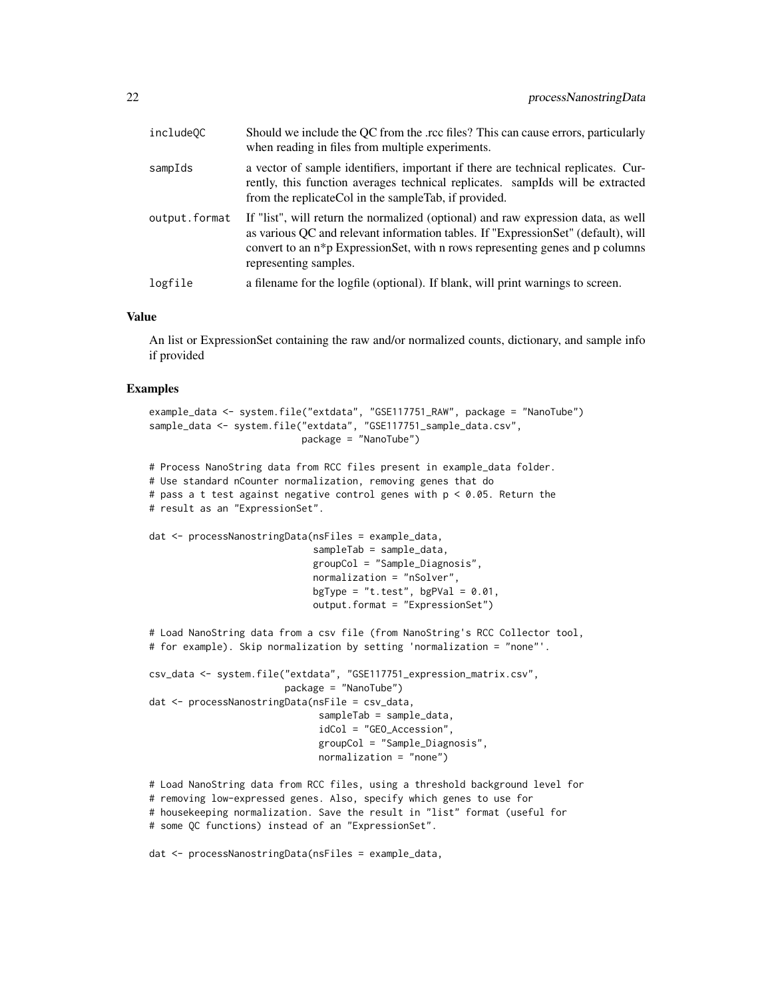| include <sub>0C</sub> | Should we include the QC from the .rcc files? This can cause errors, particularly<br>when reading in files from multiple experiments.                                                                                                                                            |
|-----------------------|----------------------------------------------------------------------------------------------------------------------------------------------------------------------------------------------------------------------------------------------------------------------------------|
| sampIds               | a vector of sample identifiers, important if there are technical replicates. Cur-<br>rently, this function averages technical replicates. sampIds will be extracted<br>from the replicate Col in the sample Tab, if provided.                                                    |
| output.format         | If "list", will return the normalized (optional) and raw expression data, as well<br>as various QC and relevant information tables. If "ExpressionSet" (default), will<br>convert to an n*p ExpressionSet, with n rows representing genes and p columns<br>representing samples. |
| logfile               | a filename for the logfile (optional). If blank, will print warnings to screen.                                                                                                                                                                                                  |

#### Value

An list or ExpressionSet containing the raw and/or normalized counts, dictionary, and sample info if provided

#### Examples

```
example_data <- system.file("extdata", "GSE117751_RAW", package = "NanoTube")
sample_data <- system.file("extdata", "GSE117751_sample_data.csv",
                          package = "NanoTube")
```

```
# Process NanoString data from RCC files present in example_data folder.
# Use standard nCounter normalization, removing genes that do
# pass a t test against negative control genes with p < 0.05. Return the
# result as an "ExpressionSet".
```

```
dat <- processNanostringData(nsFiles = example_data,
                             sampleTab = sample_data,
                             groupCol = "Sample_Diagnosis",
                             normalization = "nSolver",
                             bgType = "t.test", bgPVal = 0.01,
                             output.format = "ExpressionSet")
```

```
# Load NanoString data from a csv file (from NanoString's RCC Collector tool,
# for example). Skip normalization by setting 'normalization = "none"'.
```

```
csv_data <- system.file("extdata", "GSE117751_expression_matrix.csv",
                        package = "NanoTube")
dat <- processNanostringData(nsFile = csv_data,
                              sampleTab = sample_data,
                              idCol = "GEO_Accession",
                              groupCol = "Sample_Diagnosis",
                              normalization = "none")
```

```
# Load NanoString data from RCC files, using a threshold background level for
# removing low-expressed genes. Also, specify which genes to use for
# housekeeping normalization. Save the result in "list" format (useful for
# some QC functions) instead of an "ExpressionSet".
```
dat <- processNanostringData(nsFiles = example\_data,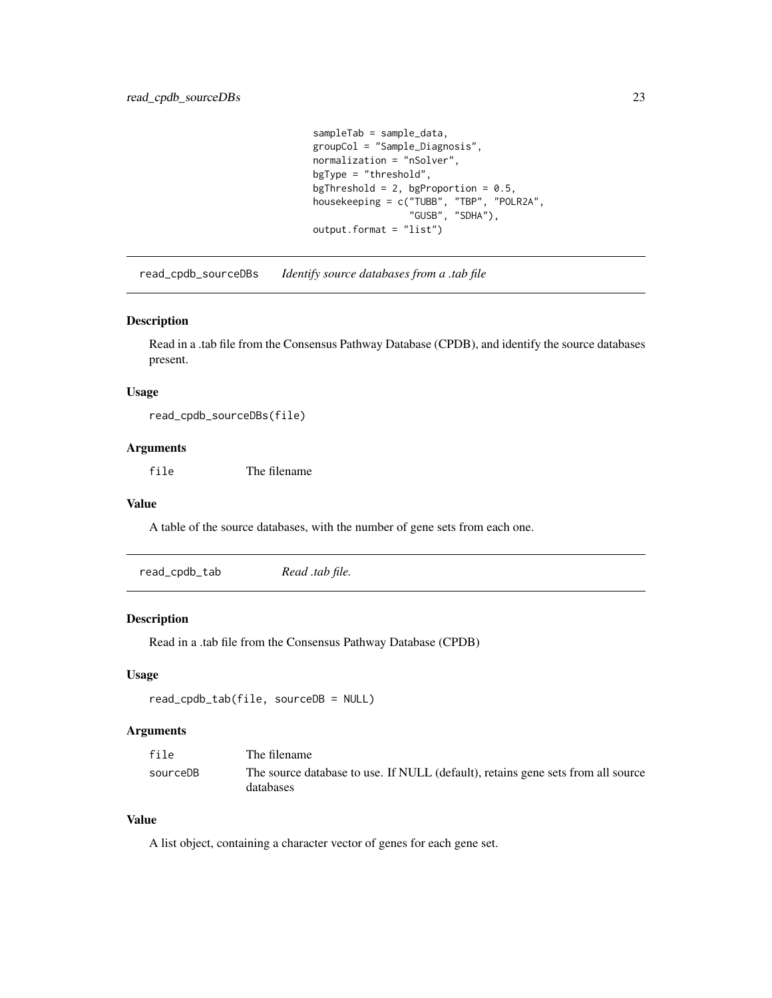```
sampleTab = sample_data,
groupCol = "Sample_Diagnosis",
normalization = "nSolver",
bgType = "threshold",
bgThreshold = 2, bgProportion = 0.5,
housekeeping = c("TUBB", "TBP", "POLR2A",
                 "GUSB", "SDHA"),
output.format = "list")
```
<span id="page-22-0"></span>read\_cpdb\_sourceDBs *Identify source databases from a .tab file*

#### Description

Read in a .tab file from the Consensus Pathway Database (CPDB), and identify the source databases present.

#### Usage

read\_cpdb\_sourceDBs(file)

#### Arguments

file The filename

#### Value

A table of the source databases, with the number of gene sets from each one.

| read_cpdb_tab | Read .tab file. |  |
|---------------|-----------------|--|
|---------------|-----------------|--|

#### Description

Read in a .tab file from the Consensus Pathway Database (CPDB)

#### Usage

```
read_cpdb_tab(file, sourceDB = NULL)
```
#### Arguments

| file     | The filename                                                                                  |
|----------|-----------------------------------------------------------------------------------------------|
| sourceDB | The source database to use. If NULL (default), retains gene sets from all source<br>databases |

#### Value

A list object, containing a character vector of genes for each gene set.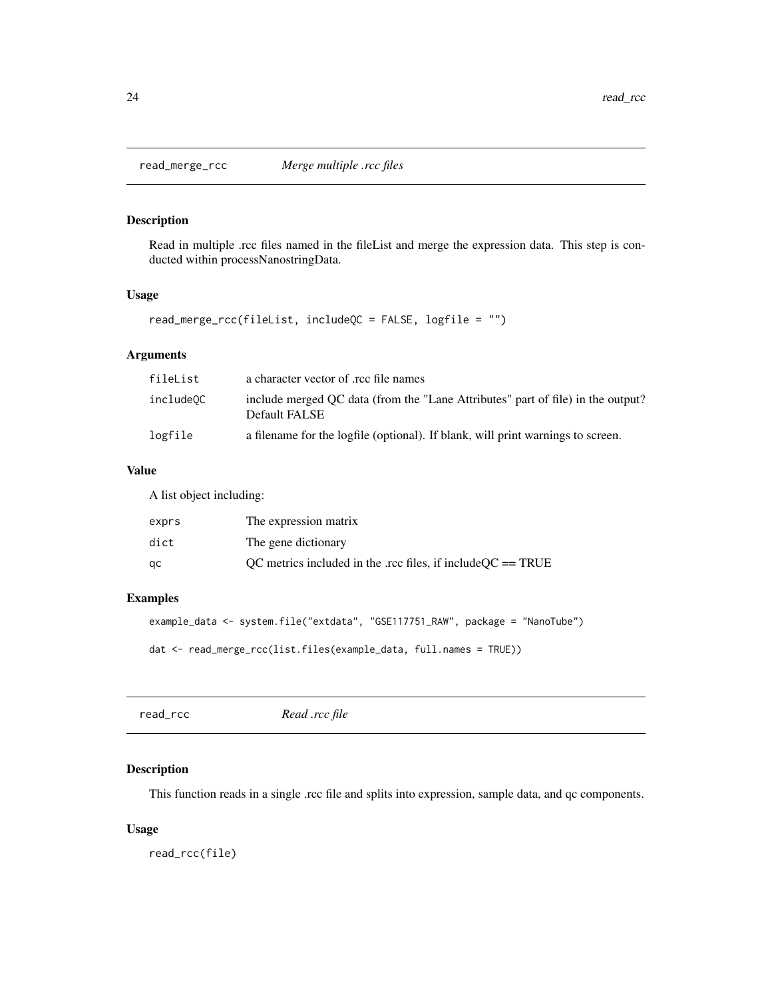<span id="page-23-0"></span>

#### Description

Read in multiple .rcc files named in the fileList and merge the expression data. This step is conducted within processNanostringData.

#### Usage

read\_merge\_rcc(fileList, includeQC = FALSE, logfile = "")

#### Arguments

| fileList  | a character vector of .rcc file names                                                            |
|-----------|--------------------------------------------------------------------------------------------------|
| includeOC | include merged OC data (from the "Lane Attributes" part of file) in the output?<br>Default FALSE |
| logfile   | a filename for the logfile (optional). If blank, will print warnings to screen.                  |

#### Value

A list object including:

| exprs | The expression matrix                                         |
|-------|---------------------------------------------------------------|
| dict  | The gene dictionary                                           |
| qс    | OC metrics included in the .rcc files, if include $OC = TRUE$ |

#### Examples

```
example_data <- system.file("extdata", "GSE117751_RAW", package = "NanoTube")
```

```
dat <- read_merge_rcc(list.files(example_data, full.names = TRUE))
```
read\_rcc *Read .rcc file*

#### Description

This function reads in a single .rcc file and splits into expression, sample data, and qc components.

#### Usage

read\_rcc(file)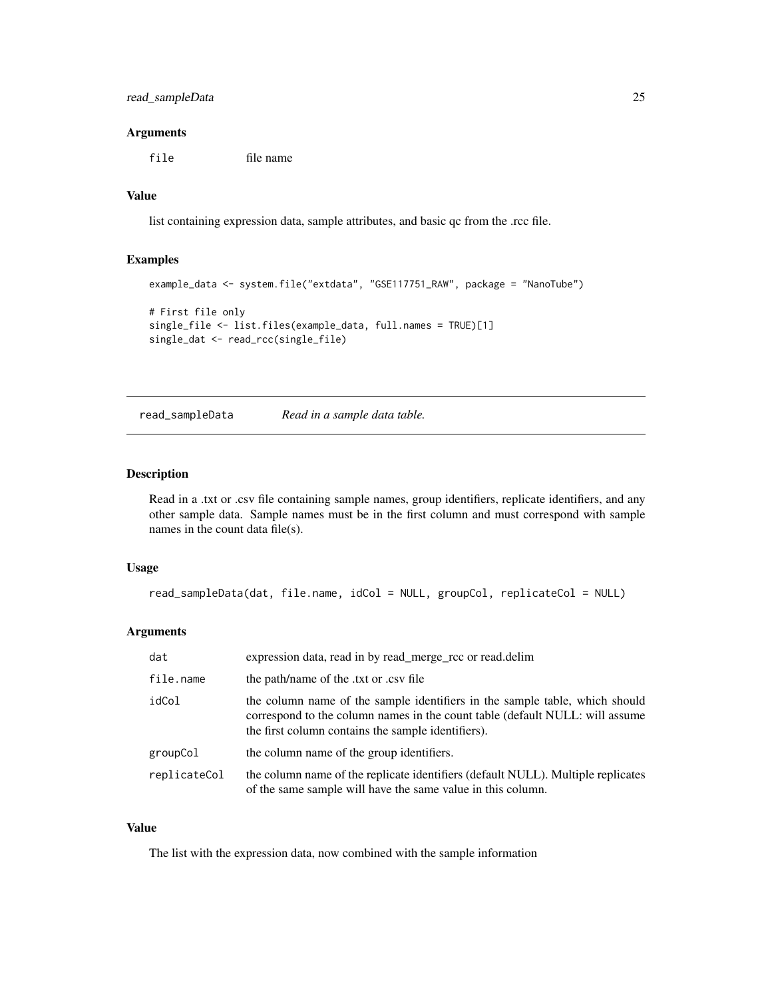#### <span id="page-24-0"></span>Arguments

file file name

#### Value

list containing expression data, sample attributes, and basic qc from the .rcc file.

#### Examples

```
example_data <- system.file("extdata", "GSE117751_RAW", package = "NanoTube")
# First file only
single_file <- list.files(example_data, full.names = TRUE)[1]
single_dat <- read_rcc(single_file)
```
read\_sampleData *Read in a sample data table.*

#### Description

Read in a .txt or .csv file containing sample names, group identifiers, replicate identifiers, and any other sample data. Sample names must be in the first column and must correspond with sample names in the count data file(s).

#### Usage

```
read_sampleData(dat, file.name, idCol = NULL, groupCol, replicateCol = NULL)
```
#### Arguments

| dat          | expression data, read in by read_merge_rcc or read.delim                                                                                                                                                          |
|--------------|-------------------------------------------------------------------------------------------------------------------------------------------------------------------------------------------------------------------|
| file.name    | the path/name of the txt or csy file                                                                                                                                                                              |
| idCol        | the column name of the sample identifiers in the sample table, which should<br>correspond to the column names in the count table (default NULL: will assume<br>the first column contains the sample identifiers). |
| groupCol     | the column name of the group identifiers.                                                                                                                                                                         |
| replicateCol | the column name of the replicate identifiers (default NULL). Multiple replicates<br>of the same sample will have the same value in this column.                                                                   |

#### Value

The list with the expression data, now combined with the sample information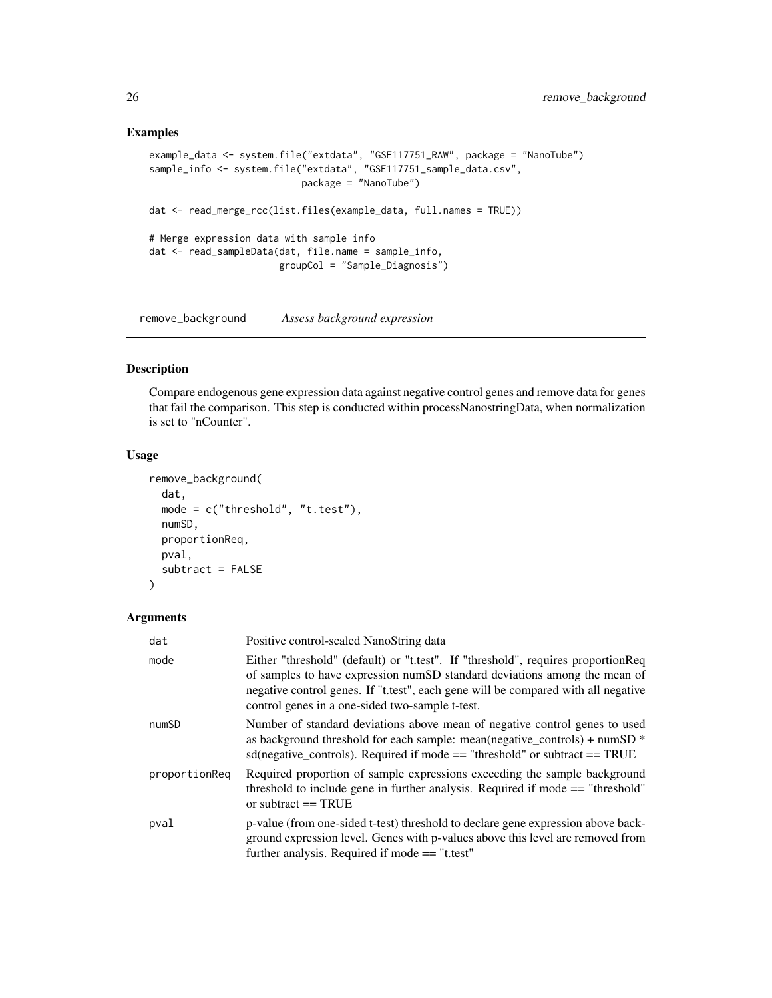```
example_data <- system.file("extdata", "GSE117751_RAW", package = "NanoTube")
sample_info <- system.file("extdata", "GSE117751_sample_data.csv",
                           package = "NanoTube")
dat <- read_merge_rcc(list.files(example_data, full.names = TRUE))
# Merge expression data with sample info
dat <- read_sampleData(dat, file.name = sample_info,
                       groupCol = "Sample_Diagnosis")
```
remove\_background *Assess background expression*

#### Description

Compare endogenous gene expression data against negative control genes and remove data for genes that fail the comparison. This step is conducted within processNanostringData, when normalization is set to "nCounter".

#### Usage

```
remove_background(
 dat,
 mode = c("threshold", "t.test"),
 numSD,
 proportionReq,
 pval,
 subtract = FALSE
)
```

| dat           | Positive control-scaled NanoString data                                                                                                                                                                                                                                                                |
|---------------|--------------------------------------------------------------------------------------------------------------------------------------------------------------------------------------------------------------------------------------------------------------------------------------------------------|
| mode          | Either "threshold" (default) or "t.test". If "threshold", requires proportion Req<br>of samples to have expression numSD standard deviations among the mean of<br>negative control genes. If "t.test", each gene will be compared with all negative<br>control genes in a one-sided two-sample t-test. |
| numSD         | Number of standard deviations above mean of negative control genes to used<br>as background threshold for each sample: mean(negative_controls) + numSD $*$<br>sd(negative_controls). Required if mode $==$ "threshold" or subtract $==$ TRUE                                                           |
| proportionReg | Required proportion of sample expressions exceeding the sample background<br>threshold to include gene in further analysis. Required if mode $==$ "threshold"<br>or subtract $==$ TRUE                                                                                                                 |
| pval          | p-value (from one-sided t-test) threshold to declare gene expression above back-<br>ground expression level. Genes with p-values above this level are removed from<br>further analysis. Required if mode $==$ "t.test"                                                                                 |

<span id="page-25-0"></span>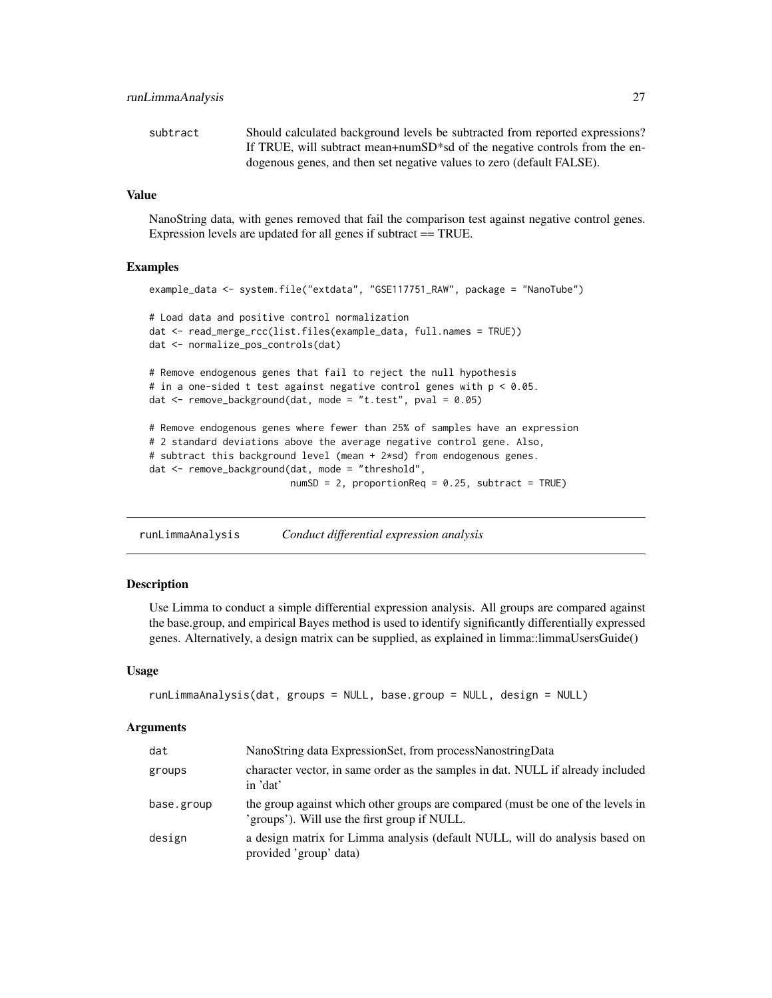<span id="page-26-0"></span>

| subtract | Should calculated background levels be subtracted from reported expressions?            |
|----------|-----------------------------------------------------------------------------------------|
|          | If TRUE, will subtract mean+numSD <sup>*</sup> sd of the negative controls from the en- |
|          | dogenous genes, and then set negative values to zero (default FALSE).                   |

#### Value

NanoString data, with genes removed that fail the comparison test against negative control genes. Expression levels are updated for all genes if subtract == TRUE.

#### Examples

```
example_data <- system.file("extdata", "GSE117751_RAW", package = "NanoTube")
# Load data and positive control normalization
dat <- read_merge_rcc(list.files(example_data, full.names = TRUE))
dat <- normalize_pos_controls(dat)
# Remove endogenous genes that fail to reject the null hypothesis
# in a one-sided t test against negative control genes with p < 0.05.
dat <- remove_background(dat, mode = "t.test", pval = 0.05)
# Remove endogenous genes where fewer than 25% of samples have an expression
# 2 standard deviations above the average negative control gene. Also,
# subtract this background level (mean + 2*sd) from endogenous genes.
dat <- remove_background(dat, mode = "threshold",
                        numSD = 2, proportionReq = 0.25, subtract = TRUE)
```
runLimmaAnalysis *Conduct differential expression analysis*

#### Description

Use Limma to conduct a simple differential expression analysis. All groups are compared against the base.group, and empirical Bayes method is used to identify significantly differentially expressed genes. Alternatively, a design matrix can be supplied, as explained in limma::limmaUsersGuide()

#### Usage

```
runLimmaAnalysis(dat, groups = NULL, base.group = NULL, design = NULL)
```

| dat        | NanoString data ExpressionSet, from processNanostringData                                                                       |
|------------|---------------------------------------------------------------------------------------------------------------------------------|
| groups     | character vector, in same order as the samples in dat. NULL if already included<br>in 'dat'                                     |
| base.group | the group against which other groups are compared (must be one of the levels in<br>'groups'). Will use the first group if NULL. |
| design     | a design matrix for Limma analysis (default NULL, will do analysis based on<br>provided 'group' data)                           |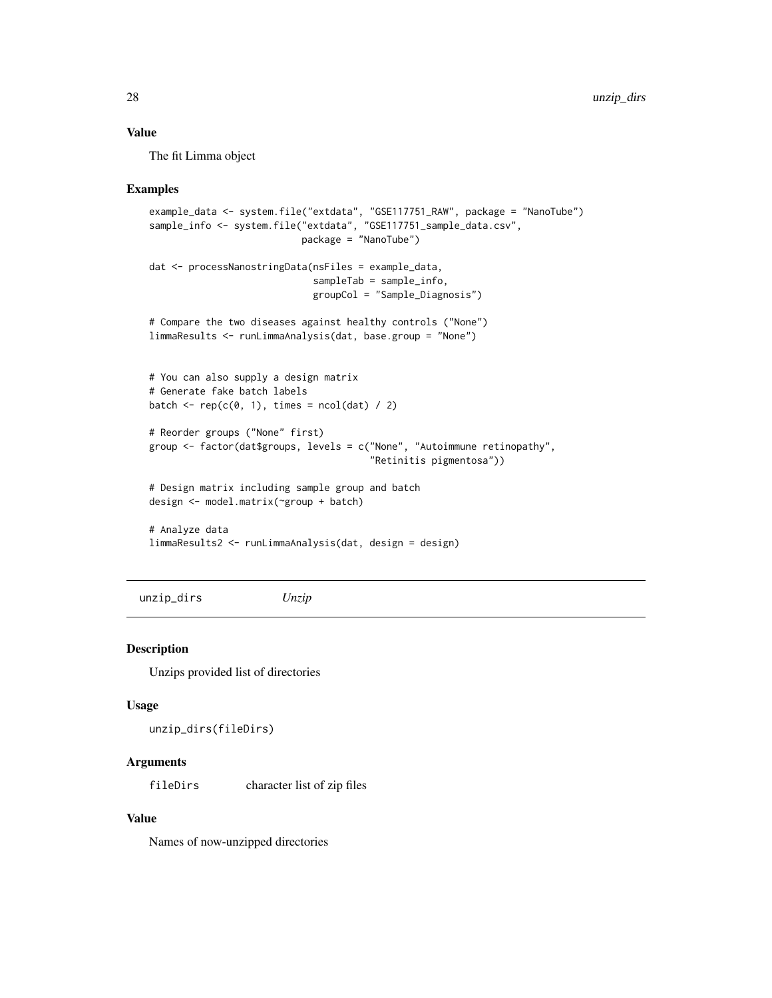#### <span id="page-27-0"></span>Value

The fit Limma object

#### Examples

```
example_data <- system.file("extdata", "GSE117751_RAW", package = "NanoTube")
sample_info <- system.file("extdata", "GSE117751_sample_data.csv",
                           package = "NanoTube")
dat <- processNanostringData(nsFiles = example_data,
                             sampleTab = sample_info,
                             groupCol = "Sample_Diagnosis")
# Compare the two diseases against healthy controls ("None")
limmaResults <- runLimmaAnalysis(dat, base.group = "None")
# You can also supply a design matrix
# Generate fake batch labels
batch \leq rep(c(0, 1), times = ncol(dat) / 2)
# Reorder groups ("None" first)
group <- factor(dat$groups, levels = c("None", "Autoimmune retinopathy",
                                       "Retinitis pigmentosa"))
# Design matrix including sample group and batch
design <- model.matrix(~group + batch)
# Analyze data
limmaResults2 <- runLimmaAnalysis(dat, design = design)
```
unzip\_dirs *Unzip*

#### Description

Unzips provided list of directories

#### Usage

unzip\_dirs(fileDirs)

#### Arguments

fileDirs character list of zip files

#### Value

Names of now-unzipped directories